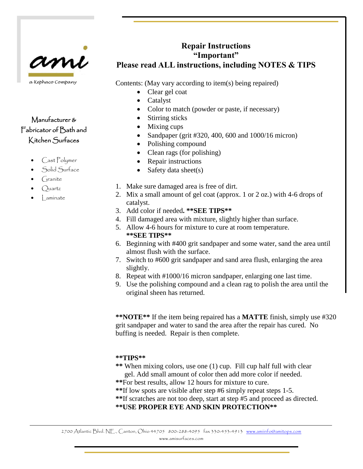

# Manufacturer & Fabricator of Bath and Kitchen Surfaces

- Cast Polymer
- Solid Surface
- $C<sub>trans</sub>$
- $Quartz$
- Laminate

# **Repair Instructions "Important" Please read ALL instructions, including NOTES & TIPS**

Contents: (May vary according to item(s) being repaired)

- Clear gel coat
- **Catalyst**
- Color to match (powder or paste, if necessary)
- Stirring sticks
- Mixing cups
- Sandpaper (grit #320, 400, 600 and 1000/16 micron)
- Polishing compound
- Clean rags (for polishing)
- Repair instructions
- Safety data sheet(s)
- 1. Make sure damaged area is free of dirt.
- 2. Mix a small amount of gel coat (approx. 1 or 2 oz.) with 4-6 drops of catalyst.
- 3. Add color if needed**. \*\*SEE TIPS\*\***
- 4. Fill damaged area with mixture, slightly higher than surface.
- 5. Allow 4-6 hours for mixture to cure at room temperature. **\*\*SEE TIPS\*\***
- 6. Beginning with #400 grit sandpaper and some water, sand the area until almost flush with the surface.
- 7. Switch to #600 grit sandpaper and sand area flush, enlarging the area slightly.
- 8. Repeat with #1000/16 micron sandpaper, enlarging one last time.
- 9. Use the polishing compound and a clean rag to polish the area until the original sheen has returned.

**\*\*NOTE\*\*** If the item being repaired has a **MATTE** finish, simply use #320 grit sandpaper and water to sand the area after the repair has cured. No buffing is needed. Repair is then complete.

## **\*\*TIPS\*\***

- **\*\*** When mixing colors, use one (1) cup. Fill cup half full with clear gel. Add small amount of color then add more color if needed.
- **\*\***For best results, allow 12 hours for mixture to cure.
- **\*\***If low spots are visible after step #6 simply repeat steps 1-5.
- **\*\***If scratches are not too deep, start at step #5 and proceed as directed.

## **\*\*USE PROPER EYE AND SKIN PROTECTION\*\***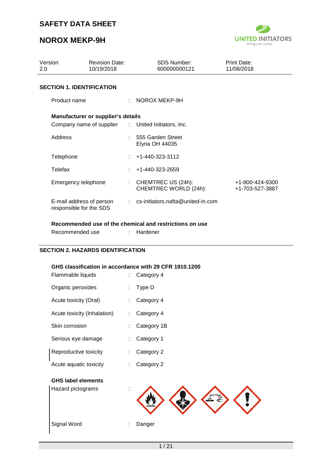# **NOROX MEKP-9H**



 $\blacktriangleright$ 

| Version<br>2.0                                      | <b>Revision Date:</b><br>10/19/2018       | <b>SDS Number:</b><br>600000000121                      | Print Date:<br>11/08/2018          |
|-----------------------------------------------------|-------------------------------------------|---------------------------------------------------------|------------------------------------|
| <b>SECTION 1. IDENTIFICATION</b>                    |                                           |                                                         |                                    |
| Product name                                        |                                           | NOROX MEKP-9H                                           |                                    |
|                                                     | <b>Manufacturer or supplier's details</b> |                                                         |                                    |
|                                                     |                                           | Company name of supplier : United Initiators, Inc.      |                                    |
| Address                                             |                                           | : 555 Garden Street<br>Elyria OH 44035                  |                                    |
| Telephone                                           |                                           | $\div$ +1-440-323-3112                                  |                                    |
| Telefax                                             |                                           | +1-440-323-2659                                         |                                    |
| Emergency telephone                                 |                                           | CHEMTREC US (24h):<br>CHEMTREC WORLD (24h):             | +1-800-424-9300<br>+1-703-527-3887 |
| E-mail address of person<br>responsible for the SDS |                                           | $:$ cs-initiators.nafta@united-in.com                   |                                    |
|                                                     |                                           | Recommended use of the chemical and restrictions on use |                                    |

| <b>TWO THE EXTENSIVE OF A TELLO TELLO AND DETECT OF A TELLO TELLO AND TELLO TELLO TELLO TELLO TELLO TEL</b> |            |
|-------------------------------------------------------------------------------------------------------------|------------|
| Recommended use                                                                                             | : Hardener |

#### **SECTION 2. HAZARDS IDENTIFICATION**

#### **GHS classification in accordance with 29 CFR 1910.1200**

| Flammable liquids           | Category 4      |
|-----------------------------|-----------------|
| Organic peroxides           | Type D          |
| Acute toxicity (Oral)       | Category 4      |
| Acute toxicity (Inhalation) | Category 4<br>÷ |
| Skin corrosion              | Category 1B     |
| Serious eye damage          | Category 1      |
| Reproductive toxicity       | Category 2      |
| Acute aquatic toxicity      | Category 2      |
| <b>GHS label elements</b>   |                 |
| Hazard pictograms           |                 |
|                             |                 |
|                             |                 |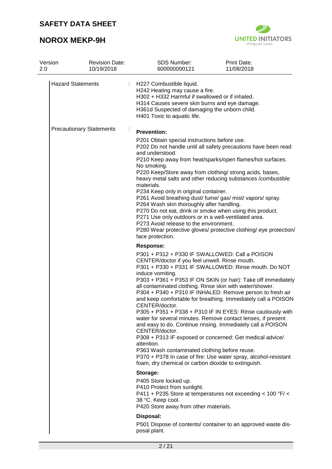

| Version<br>2.0 |                                 | <b>Revision Date:</b><br>10/19/2018 | <b>SDS Number:</b><br>600000000121                                                                                                                                                                                                                                                                                                                                                                                                                                                                                                                                                                                                                                                                                                                                                                                                                                                                                                          | Print Date:<br>11/08/2018 |
|----------------|---------------------------------|-------------------------------------|---------------------------------------------------------------------------------------------------------------------------------------------------------------------------------------------------------------------------------------------------------------------------------------------------------------------------------------------------------------------------------------------------------------------------------------------------------------------------------------------------------------------------------------------------------------------------------------------------------------------------------------------------------------------------------------------------------------------------------------------------------------------------------------------------------------------------------------------------------------------------------------------------------------------------------------------|---------------------------|
|                | <b>Hazard Statements</b>        |                                     | H227 Combustible liquid.<br>H242 Heating may cause a fire.<br>H302 + H332 Harmful if swallowed or if inhaled.<br>H314 Causes severe skin burns and eye damage.<br>H361d Suspected of damaging the unborn child.<br>H401 Toxic to aquatic life.                                                                                                                                                                                                                                                                                                                                                                                                                                                                                                                                                                                                                                                                                              |                           |
|                | <b>Precautionary Statements</b> |                                     | <b>Prevention:</b><br>P201 Obtain special instructions before use.                                                                                                                                                                                                                                                                                                                                                                                                                                                                                                                                                                                                                                                                                                                                                                                                                                                                          |                           |
|                |                                 |                                     | P202 Do not handle until all safety precautions have been read<br>and understood.<br>P210 Keep away from heat/sparks/open flames/hot surfaces.                                                                                                                                                                                                                                                                                                                                                                                                                                                                                                                                                                                                                                                                                                                                                                                              |                           |
|                |                                 |                                     | No smoking.<br>P220 Keep/Store away from clothing/ strong acids, bases,<br>heavy metal salts and other reducing substances /combustible                                                                                                                                                                                                                                                                                                                                                                                                                                                                                                                                                                                                                                                                                                                                                                                                     |                           |
|                |                                 |                                     | materials.<br>P234 Keep only in original container.<br>P261 Avoid breathing dust/ fume/ gas/ mist/ vapors/ spray.<br>P264 Wash skin thoroughly after handling.<br>P270 Do not eat, drink or smoke when using this product.<br>P271 Use only outdoors or in a well-ventilated area.<br>P273 Avoid release to the environment.<br>P280 Wear protective gloves/ protective clothing/ eye protection/                                                                                                                                                                                                                                                                                                                                                                                                                                                                                                                                           |                           |
|                |                                 |                                     | face protection.                                                                                                                                                                                                                                                                                                                                                                                                                                                                                                                                                                                                                                                                                                                                                                                                                                                                                                                            |                           |
|                |                                 |                                     | Response:<br>P301 + P312 + P330 IF SWALLOWED: Call a POISON<br>CENTER/doctor if you feel unwell. Rinse mouth.<br>P301 + P330 + P331 IF SWALLOWED: Rinse mouth. Do NOT<br>induce vomiting.<br>P303 + P361 + P353 IF ON SKIN (or hair): Take off immediately<br>all contaminated clothing. Rinse skin with water/shower.<br>P304 + P340 + P310 IF INHALED: Remove person to fresh air<br>and keep comfortable for breathing. Immediately call a POISON<br>CENTER/doctor.<br>P305 + P351 + P338 + P310 IF IN EYES: Rinse cautiously with<br>water for several minutes. Remove contact lenses, if present<br>and easy to do. Continue rinsing. Immediately call a POISON<br>CENTER/doctor.<br>P308 + P313 IF exposed or concerned: Get medical advice/<br>attention.<br>P363 Wash contaminated clothing before reuse.<br>P370 + P378 In case of fire: Use water spray, alcohol-resistant<br>foam, dry chemical or carbon dioxide to extinguish. |                           |
|                |                                 |                                     | Storage:<br>P405 Store locked up.<br>P410 Protect from sunlight.<br>P411 + P235 Store at temperatures not exceeding < 100 $\degree$ F/ <<br>38 °C. Keep cool.<br>P420 Store away from other materials.                                                                                                                                                                                                                                                                                                                                                                                                                                                                                                                                                                                                                                                                                                                                      |                           |
|                |                                 |                                     | Disposal:<br>P501 Dispose of contents/ container to an approved waste dis-<br>posal plant.                                                                                                                                                                                                                                                                                                                                                                                                                                                                                                                                                                                                                                                                                                                                                                                                                                                  |                           |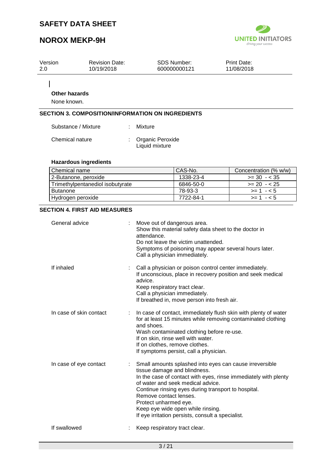# **NOROX MEKP-9H**



| Version | <b>Revision Date:</b> | <b>SDS Number:</b> | <b>Print Date:</b> |  |
|---------|-----------------------|--------------------|--------------------|--|
| 2.0     | 10/19/2018            | 600000000121       | 11/08/2018         |  |
|         |                       |                    |                    |  |

 $\mathbf{I}$ 

## **Other hazards**

None known.

## **SECTION 3. COMPOSITION/INFORMATION ON INGREDIENTS**

| Substance / Mixture | : Mixture                            |
|---------------------|--------------------------------------|
| Chemical nature     | : Organic Peroxide<br>Liquid mixture |

### **Hazardous ingredients**

| l Chemical name                  | CAS-No.   | Concentration (% w/w) |
|----------------------------------|-----------|-----------------------|
| 2-Butanone, peroxide             | 1338-23-4 | $>= 30 - 35$          |
| Trimethylpentanediol isobutyrate | 6846-50-0 | $>= 20 - 25$          |
| <b>Butanone</b>                  | 78-93-3   | $>= 1 - 5$            |
| Hydrogen peroxide                | 7722-84-1 | $> = 1 - 5$           |

#### **SECTION 4. FIRST AID MEASURES**

| General advice          | Move out of dangerous area.<br>Show this material safety data sheet to the doctor in<br>attendance.<br>Do not leave the victim unattended.<br>Symptoms of poisoning may appear several hours later.<br>Call a physician immediately.                                                                                                                                                                |
|-------------------------|-----------------------------------------------------------------------------------------------------------------------------------------------------------------------------------------------------------------------------------------------------------------------------------------------------------------------------------------------------------------------------------------------------|
| If inhaled              | Call a physician or poison control center immediately.<br>If unconscious, place in recovery position and seek medical<br>advice.<br>Keep respiratory tract clear.<br>Call a physician immediately.<br>If breathed in, move person into fresh air.                                                                                                                                                   |
| In case of skin contact | In case of contact, immediately flush skin with plenty of water<br>for at least 15 minutes while removing contaminated clothing<br>and shoes.<br>Wash contaminated clothing before re-use.<br>If on skin, rinse well with water.<br>If on clothes, remove clothes.<br>If symptoms persist, call a physician.                                                                                        |
| In case of eye contact  | Small amounts splashed into eyes can cause irreversible<br>tissue damage and blindness.<br>In the case of contact with eyes, rinse immediately with plenty<br>of water and seek medical advice.<br>Continue rinsing eyes during transport to hospital.<br>Remove contact lenses.<br>Protect unharmed eye.<br>Keep eye wide open while rinsing.<br>If eye irritation persists, consult a specialist. |
| If swallowed            | Keep respiratory tract clear.                                                                                                                                                                                                                                                                                                                                                                       |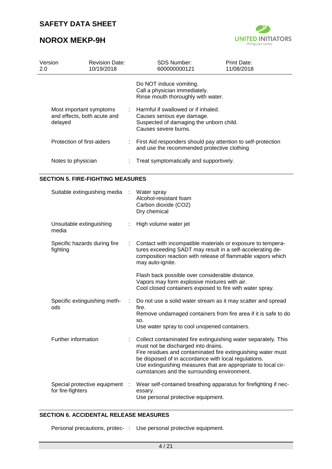# **NOROX MEKP-9H**



| Version<br>2.0 |                                                                   | <b>Revision Date:</b><br>10/19/2018 | <b>SDS Number:</b><br>600000000121                                                                                                   | Print Date:<br>11/08/2018 |
|----------------|-------------------------------------------------------------------|-------------------------------------|--------------------------------------------------------------------------------------------------------------------------------------|---------------------------|
|                |                                                                   |                                     | Do NOT induce vomiting.<br>Call a physician immediately.<br>Rinse mouth thoroughly with water.                                       |                           |
|                | Most important symptoms<br>and effects, both acute and<br>delayed |                                     | Harmful if swallowed or if inhaled.<br>Causes serious eye damage.<br>Suspected of damaging the unborn child.<br>Causes severe burns. |                           |
|                | Protection of first-aiders                                        |                                     | : First Aid responders should pay attention to self-protection<br>and use the recommended protective clothing                        |                           |
|                | Notes to physician                                                |                                     | Treat symptomatically and supportively.                                                                                              |                           |

#### **SECTION 5. FIRE-FIGHTING MEASURES**

| Suitable extinguishing media :                      |   | Water spray<br>Alcohol-resistant foam<br>Carbon dioxide (CO2)<br>Dry chemical                                                                                                                                                                                                                                                                 |
|-----------------------------------------------------|---|-----------------------------------------------------------------------------------------------------------------------------------------------------------------------------------------------------------------------------------------------------------------------------------------------------------------------------------------------|
| Unsuitable extinguishing<br>media                   |   | High volume water jet                                                                                                                                                                                                                                                                                                                         |
| Specific hazards during fire<br>fighting            |   | Contact with incompatible materials or exposure to tempera-<br>tures exceeding SADT may result in a self-accelerating de-<br>composition reaction with release of flammable vapors which<br>may auto-ignite.                                                                                                                                  |
|                                                     |   | Flash back possible over considerable distance.<br>Vapors may form explosive mixtures with air.<br>Cool closed containers exposed to fire with water spray.                                                                                                                                                                                   |
| Specific extinguishing meth-<br>ods                 | ÷ | Do not use a solid water stream as it may scatter and spread<br>fire.<br>Remove undamaged containers from fire area if it is safe to do<br>SO.<br>Use water spray to cool unopened containers.                                                                                                                                                |
| Further information                                 |   | Collect contaminated fire extinguishing water separately. This<br>must not be discharged into drains.<br>Fire residues and contaminated fire extinguishing water must<br>be disposed of in accordance with local regulations.<br>Use extinguishing measures that are appropriate to local cir-<br>cumstances and the surrounding environment. |
| Special protective equipment :<br>for fire-fighters |   | Wear self-contained breathing apparatus for firefighting if nec-<br>essary.<br>Use personal protective equipment.                                                                                                                                                                                                                             |

### **SECTION 6. ACCIDENTAL RELEASE MEASURES**

Personal precautions, protec- : Use personal protective equipment.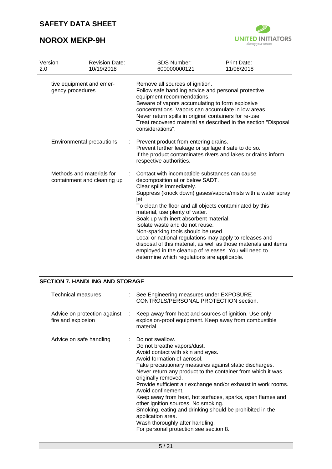# **NOROX MEKP-9H**



| Version                                                  | <b>Revision Date:</b>     |                                                                                                                                                                                                                                                                                                                                                                                                                                                                                                                                                                                                                                             | <b>SDS Number:</b>                                                                                                        | <b>Print Date:</b>                                            |
|----------------------------------------------------------|---------------------------|---------------------------------------------------------------------------------------------------------------------------------------------------------------------------------------------------------------------------------------------------------------------------------------------------------------------------------------------------------------------------------------------------------------------------------------------------------------------------------------------------------------------------------------------------------------------------------------------------------------------------------------------|---------------------------------------------------------------------------------------------------------------------------|---------------------------------------------------------------|
| 2.0                                                      | 10/19/2018                |                                                                                                                                                                                                                                                                                                                                                                                                                                                                                                                                                                                                                                             | 600000000121                                                                                                              | 11/08/2018                                                    |
| tive equipment and emer-<br>gency procedures             |                           | Remove all sources of ignition.<br>Follow safe handling advice and personal protective<br>equipment recommendations.<br>Beware of vapors accumulating to form explosive<br>concentrations. Vapors can accumulate in low areas.<br>Never return spills in original containers for re-use.<br>Treat recovered material as described in the section "Disposal<br>considerations".                                                                                                                                                                                                                                                              |                                                                                                                           |                                                               |
|                                                          | Environmental precautions | ÷                                                                                                                                                                                                                                                                                                                                                                                                                                                                                                                                                                                                                                           | Prevent product from entering drains.<br>Prevent further leakage or spillage if safe to do so.<br>respective authorities. | If the product contaminates rivers and lakes or drains inform |
| Methods and materials for<br>containment and cleaning up |                           | Contact with incompatible substances can cause<br>decomposition at or below SADT.<br>Clear spills immediately.<br>Suppress (knock down) gases/vapors/mists with a water spray<br>jet.<br>To clean the floor and all objects contaminated by this<br>material, use plenty of water.<br>Soak up with inert absorbent material.<br>Isolate waste and do not reuse.<br>Non-sparking tools should be used.<br>Local or national regulations may apply to releases and<br>disposal of this material, as well as those materials and items<br>employed in the cleanup of releases. You will need to<br>determine which regulations are applicable. |                                                                                                                           |                                                               |

## **SECTION 7. HANDLING AND STORAGE**

| <b>Technical measures</b>                          |    | : See Engineering measures under EXPOSURE<br>CONTROLS/PERSONAL PROTECTION section.                                                                                                                                                                                                                                                                                                                                                                                                                                                                                                                                             |
|----------------------------------------------------|----|--------------------------------------------------------------------------------------------------------------------------------------------------------------------------------------------------------------------------------------------------------------------------------------------------------------------------------------------------------------------------------------------------------------------------------------------------------------------------------------------------------------------------------------------------------------------------------------------------------------------------------|
| Advice on protection against<br>fire and explosion | ÷. | Keep away from heat and sources of ignition. Use only<br>explosion-proof equipment. Keep away from combustible<br>material.                                                                                                                                                                                                                                                                                                                                                                                                                                                                                                    |
| Advice on safe handling                            |    | : Do not swallow.<br>Do not breathe vapors/dust.<br>Avoid contact with skin and eyes.<br>Avoid formation of aerosol.<br>Take precautionary measures against static discharges.<br>Never return any product to the container from which it was<br>originally removed.<br>Provide sufficient air exchange and/or exhaust in work rooms.<br>Avoid confinement.<br>Keep away from heat, hot surfaces, sparks, open flames and<br>other ignition sources. No smoking.<br>Smoking, eating and drinking should be prohibited in the<br>application area.<br>Wash thoroughly after handling.<br>For personal protection see section 8. |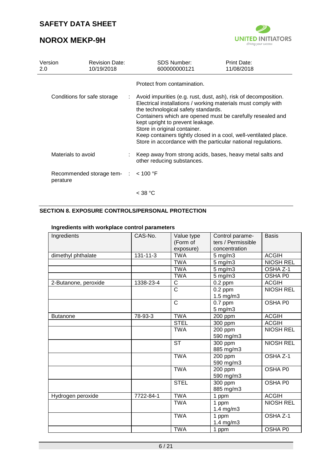# **NOROX MEKP-9H**



| Version<br>2.0                   | <b>Revision Date:</b><br>10/19/2018    |                                                                                                                                                                                                                                                                                                                                                                                                                                                | SDS Number:<br>600000000121                                                               | <b>Print Date:</b><br>11/08/2018 |
|----------------------------------|----------------------------------------|------------------------------------------------------------------------------------------------------------------------------------------------------------------------------------------------------------------------------------------------------------------------------------------------------------------------------------------------------------------------------------------------------------------------------------------------|-------------------------------------------------------------------------------------------|----------------------------------|
|                                  |                                        |                                                                                                                                                                                                                                                                                                                                                                                                                                                | Protect from contamination.                                                               |                                  |
| Conditions for safe storage<br>÷ |                                        | Avoid impurities (e.g. rust, dust, ash), risk of decomposition.<br>Electrical installations / working materials must comply with<br>the technological safety standards.<br>Containers which are opened must be carefully resealed and<br>kept upright to prevent leakage.<br>Store in original container.<br>Keep containers tightly closed in a cool, well-ventilated place.<br>Store in accordance with the particular national regulations. |                                                                                           |                                  |
|                                  | Materials to avoid                     |                                                                                                                                                                                                                                                                                                                                                                                                                                                | : Keep away from strong acids, bases, heavy metal salts and<br>other reducing substances. |                                  |
|                                  | Recommended storage tem- :<br>perature |                                                                                                                                                                                                                                                                                                                                                                                                                                                | $<$ 100 °F                                                                                |                                  |
|                                  |                                        |                                                                                                                                                                                                                                                                                                                                                                                                                                                | $<$ 38 °C                                                                                 |                                  |

## **SECTION 8. EXPOSURE CONTROLS/PERSONAL PROTECTION**

#### **Ingredients with workplace control parameters**

| Ingredients          | CAS-No.        | Value type<br>(Form of<br>exposure) | Control parame-<br>ters / Permissible<br>concentration | <b>Basis</b>        |
|----------------------|----------------|-------------------------------------|--------------------------------------------------------|---------------------|
| dimethyl phthalate   | $131 - 11 - 3$ | <b>TWA</b>                          | $5$ mg/m $3$                                           | <b>ACGIH</b>        |
|                      |                | <b>TWA</b>                          | 5 mg/m3                                                | <b>NIOSH REL</b>    |
|                      |                | <b>TWA</b>                          | $5$ mg/m $3$                                           | OSHA <sub>Z-1</sub> |
|                      |                | <b>TWA</b>                          | $5$ mg/m $3$                                           | OSHA P0             |
| 2-Butanone, peroxide | 1338-23-4      | $\mathsf C$                         | $0.2$ ppm                                              | <b>ACGIH</b>        |
|                      |                | $\overline{C}$                      | $0.2$ ppm<br>$1.5$ mg/m $3$                            | <b>NIOSH REL</b>    |
|                      |                | $\mathsf{C}$                        | $0.7$ ppm<br>$5$ mg/m $3$                              | OSHA P0             |
| <b>Butanone</b>      | 78-93-3        | <b>TWA</b>                          | 200 ppm                                                | <b>ACGIH</b>        |
|                      |                | <b>STEL</b>                         | 300 ppm                                                | <b>ACGIH</b>        |
|                      |                | <b>TWA</b>                          | 200 ppm<br>590 mg/m3                                   | <b>NIOSH REL</b>    |
|                      |                | <b>ST</b>                           | 300 ppm<br>885 mg/m3                                   | <b>NIOSH REL</b>    |
|                      |                | <b>TWA</b>                          | 200 ppm<br>590 mg/m3                                   | OSHA <sub>Z-1</sub> |
|                      |                | <b>TWA</b>                          | 200 ppm<br>590 mg/m3                                   | OSHA P0             |
|                      |                | <b>STEL</b>                         | 300 ppm<br>885 mg/m3                                   | OSHA P0             |
| Hydrogen peroxide    | 7722-84-1      | <b>TWA</b>                          | 1 ppm                                                  | <b>ACGIH</b>        |
|                      |                | <b>TWA</b>                          | 1 ppm<br>$1.4$ mg/m $3$                                | <b>NIOSH REL</b>    |
|                      |                | <b>TWA</b>                          | 1 ppm<br>1.4 $mg/m3$                                   | OSHA Z-1            |
|                      |                | <b>TWA</b>                          | 1 ppm                                                  | OSHA P0             |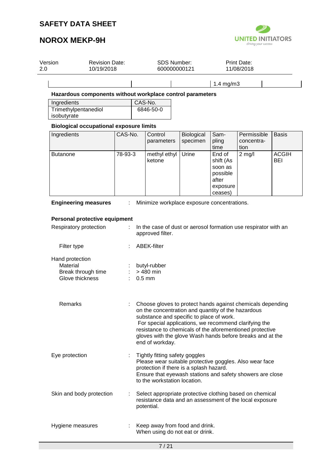

| Version<br>2.0                      | <b>Revision Date:</b><br>10/19/2018            |         | SDS Number:<br>600000000121                                                                                                                                                                                                                                                                                                                                       |                        |                                                                            | <b>Print Date:</b><br>11/08/2018  |                            |
|-------------------------------------|------------------------------------------------|---------|-------------------------------------------------------------------------------------------------------------------------------------------------------------------------------------------------------------------------------------------------------------------------------------------------------------------------------------------------------------------|------------------------|----------------------------------------------------------------------------|-----------------------------------|----------------------------|
|                                     |                                                |         |                                                                                                                                                                                                                                                                                                                                                                   |                        | $1.4$ mg/m $3$                                                             |                                   |                            |
|                                     |                                                |         | Hazardous components without workplace control parameters                                                                                                                                                                                                                                                                                                         |                        |                                                                            |                                   |                            |
| Ingredients                         |                                                |         | CAS-No.                                                                                                                                                                                                                                                                                                                                                           |                        |                                                                            |                                   |                            |
| Trimethylpentanediol<br>isobutyrate |                                                |         | 6846-50-0                                                                                                                                                                                                                                                                                                                                                         |                        |                                                                            |                                   |                            |
|                                     | <b>Biological occupational exposure limits</b> |         |                                                                                                                                                                                                                                                                                                                                                                   |                        |                                                                            |                                   |                            |
| Ingredients                         |                                                | CAS-No. | Control<br>parameters                                                                                                                                                                                                                                                                                                                                             | Biological<br>specimen | Sam-<br>pling<br>time                                                      | Permissible<br>concentra-<br>tion | <b>Basis</b>               |
| <b>Butanone</b>                     |                                                | 78-93-3 | methyl ethyl<br>ketone                                                                                                                                                                                                                                                                                                                                            | Urine                  | End of<br>shift (As<br>soon as<br>possible<br>after<br>exposure<br>ceases) | $2$ mg/l                          | <b>ACGIH</b><br><b>BEI</b> |
|                                     | <b>Engineering measures</b>                    | ÷       | Minimize workplace exposure concentrations.                                                                                                                                                                                                                                                                                                                       |                        |                                                                            |                                   |                            |
|                                     | Personal protective equipment                  |         |                                                                                                                                                                                                                                                                                                                                                                   |                        |                                                                            |                                   |                            |
| Respiratory protection              |                                                |         | In the case of dust or aerosol formation use respirator with an                                                                                                                                                                                                                                                                                                   |                        |                                                                            |                                   |                            |
|                                     |                                                |         | approved filter.                                                                                                                                                                                                                                                                                                                                                  |                        |                                                                            |                                   |                            |
| Filter type                         |                                                |         | <b>ABEK-filter</b>                                                                                                                                                                                                                                                                                                                                                |                        |                                                                            |                                   |                            |
| Hand protection                     |                                                |         |                                                                                                                                                                                                                                                                                                                                                                   |                        |                                                                            |                                   |                            |
| Material                            |                                                |         | butyl-rubber<br>> 480 min                                                                                                                                                                                                                                                                                                                                         |                        |                                                                            |                                   |                            |
| Glove thickness                     | Break through time                             |         | $0.5$ mm                                                                                                                                                                                                                                                                                                                                                          |                        |                                                                            |                                   |                            |
| Remarks                             |                                                |         | Choose gloves to protect hands against chemicals depending<br>on the concentration and quantity of the hazardous<br>substance and specific to place of work.<br>For special applications, we recommend clarifying the<br>resistance to chemicals of the aforementioned protective<br>gloves with the glove Wash hands before breaks and at the<br>end of workday. |                        |                                                                            |                                   |                            |
| Eye protection                      |                                                |         | Tightly fitting safety goggles<br>Please wear suitable protective goggles. Also wear face<br>protection if there is a splash hazard.<br>Ensure that eyewash stations and safety showers are close<br>to the workstation location.                                                                                                                                 |                        |                                                                            |                                   |                            |
|                                     | Skin and body protection                       |         | Select appropriate protective clothing based on chemical<br>resistance data and an assessment of the local exposure<br>potential.                                                                                                                                                                                                                                 |                        |                                                                            |                                   |                            |
|                                     |                                                |         |                                                                                                                                                                                                                                                                                                                                                                   |                        |                                                                            |                                   |                            |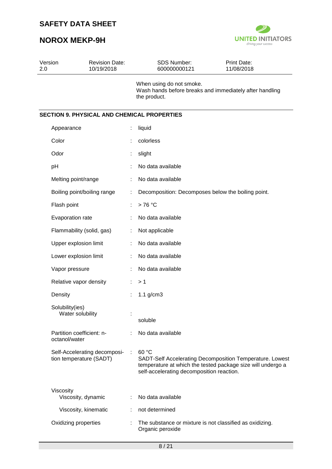

| Version<br>2.0 |                                            | <b>Revision Date:</b><br>10/19/2018 | <b>SDS Number:</b><br>600000000121                                                                                | Print Date:<br>11/08/2018                                |
|----------------|--------------------------------------------|-------------------------------------|-------------------------------------------------------------------------------------------------------------------|----------------------------------------------------------|
|                |                                            |                                     | When using do not smoke.<br>Wash hands before breaks and immediately after handling<br>the product.               |                                                          |
|                |                                            |                                     | <b>SECTION 9. PHYSICAL AND CHEMICAL PROPERTIES</b>                                                                |                                                          |
|                | Appearance                                 |                                     | liquid                                                                                                            |                                                          |
|                | Color                                      |                                     | colorless                                                                                                         |                                                          |
|                | Odor                                       |                                     | slight                                                                                                            |                                                          |
|                | pH                                         |                                     | No data available                                                                                                 |                                                          |
|                | Melting point/range                        |                                     | No data available                                                                                                 |                                                          |
|                | Boiling point/boiling range                |                                     | Decomposition: Decomposes below the boiling point.                                                                |                                                          |
|                | Flash point                                |                                     | >76 °C                                                                                                            |                                                          |
|                | Evaporation rate                           |                                     | No data available                                                                                                 |                                                          |
|                | Flammability (solid, gas)                  |                                     | Not applicable                                                                                                    |                                                          |
|                | Upper explosion limit                      |                                     | No data available                                                                                                 |                                                          |
|                | Lower explosion limit                      |                                     | No data available                                                                                                 |                                                          |
|                | Vapor pressure                             |                                     | No data available                                                                                                 |                                                          |
|                | Relative vapor density                     |                                     | >1                                                                                                                |                                                          |
|                | Density                                    |                                     | $1.1$ g/cm $3$                                                                                                    |                                                          |
|                | Solubility(ies)<br>Water solubility        |                                     | soluble                                                                                                           |                                                          |
|                | Partition coefficient: n-<br>octanol/water |                                     | No data available                                                                                                 |                                                          |
|                | tion temperature (SADT)                    | Self-Accelerating decomposi-        | 60 °C<br>temperature at which the tested package size will undergo a<br>self-accelerating decomposition reaction. | SADT-Self Accelerating Decomposition Temperature. Lowest |
|                | Viscosity<br>Viscosity, dynamic            |                                     | No data available                                                                                                 |                                                          |
|                | Viscosity, kinematic                       |                                     | not determined                                                                                                    |                                                          |
|                | Oxidizing properties                       |                                     | The substance or mixture is not classified as oxidizing.<br>Organic peroxide                                      |                                                          |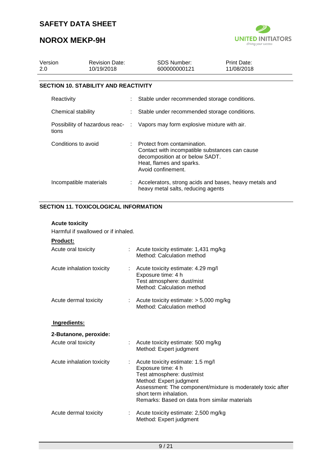# **NOROX MEKP-9H**



| Version<br>2.0 |                        | <b>Revision Date:</b><br>10/19/2018         |                                                                              | <b>SDS Number:</b><br>600000000121                                                                                                                                   | Print Date:<br>11/08/2018 |  |
|----------------|------------------------|---------------------------------------------|------------------------------------------------------------------------------|----------------------------------------------------------------------------------------------------------------------------------------------------------------------|---------------------------|--|
|                |                        | <b>SECTION 10. STABILITY AND REACTIVITY</b> |                                                                              |                                                                                                                                                                      |                           |  |
|                | Reactivity             |                                             |                                                                              | Stable under recommended storage conditions.                                                                                                                         |                           |  |
|                | Chemical stability     |                                             |                                                                              | Stable under recommended storage conditions.                                                                                                                         |                           |  |
|                | tions                  |                                             | Possibility of hazardous reac- : Vapors may form explosive mixture with air. |                                                                                                                                                                      |                           |  |
|                | Conditions to avoid    |                                             |                                                                              | : Protect from contamination.<br>Contact with incompatible substances can cause<br>decomposition at or below SADT.<br>Heat, flames and sparks.<br>Avoid confinement. |                           |  |
|                | Incompatible materials |                                             | ÷                                                                            | Accelerators, strong acids and bases, heavy metals and<br>heavy metal salts, reducing agents                                                                         |                           |  |

## **SECTION 11. TOXICOLOGICAL INFORMATION**

### **Acute toxicity**

Harmful if swallowed or if inhaled.

#### **Product:**

| Acute oral toxicity       |    | Acute toxicity estimate: 1,431 mg/kg<br>Method: Calculation method                                                                                                                                                                                         |
|---------------------------|----|------------------------------------------------------------------------------------------------------------------------------------------------------------------------------------------------------------------------------------------------------------|
| Acute inhalation toxicity |    | : Acute toxicity estimate: 4.29 mg/l<br>Exposure time: 4 h<br>Test atmosphere: dust/mist<br>Method: Calculation method                                                                                                                                     |
| Acute dermal toxicity     |    | : Acute toxicity estimate: $> 5,000$ mg/kg<br>Method: Calculation method                                                                                                                                                                                   |
| Ingredients:              |    |                                                                                                                                                                                                                                                            |
| 2-Butanone, peroxide:     |    |                                                                                                                                                                                                                                                            |
| Acute oral toxicity       | ÷. | Acute toxicity estimate: 500 mg/kg<br>Method: Expert judgment                                                                                                                                                                                              |
| Acute inhalation toxicity |    | Acute toxicity estimate: 1.5 mg/l<br>Exposure time: 4 h<br>Test atmosphere: dust/mist<br>Method: Expert judgment<br>Assessment: The component/mixture is moderately toxic after<br>short term inhalation.<br>Remarks: Based on data from similar materials |
| Acute dermal toxicity     |    | Acute toxicity estimate: 2,500 mg/kg<br>Method: Expert judgment                                                                                                                                                                                            |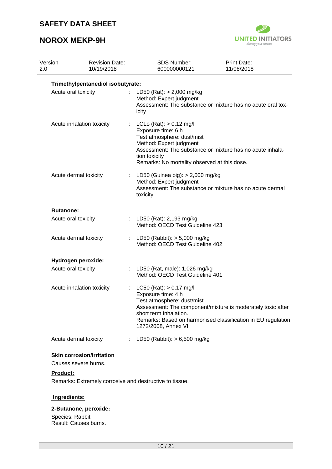## **NOROX MEKP-9H**



| Version<br>2.0   | <b>Revision Date:</b><br>10/19/2018                      | <b>SDS Number:</b><br>600000000121                                                                                                                                        | <b>Print Date:</b><br>11/08/2018                                                                                            |
|------------------|----------------------------------------------------------|---------------------------------------------------------------------------------------------------------------------------------------------------------------------------|-----------------------------------------------------------------------------------------------------------------------------|
|                  | Trimethylpentanediol isobutyrate:                        |                                                                                                                                                                           |                                                                                                                             |
|                  | Acute oral toxicity                                      | LD50 (Rat): $> 2,000$ mg/kg<br>Method: Expert judgment<br>icity                                                                                                           | Assessment: The substance or mixture has no acute oral tox-                                                                 |
|                  | Acute inhalation toxicity                                | LCLo (Rat): $> 0.12$ mg/l<br>Exposure time: 6 h<br>Test atmosphere: dust/mist<br>Method: Expert judgment<br>tion toxicity<br>Remarks: No mortality observed at this dose. | Assessment: The substance or mixture has no acute inhala-                                                                   |
|                  | Acute dermal toxicity                                    | LD50 (Guinea pig): > 2,000 mg/kg<br>Method: Expert judgment<br>toxicity                                                                                                   | Assessment: The substance or mixture has no acute dermal                                                                    |
| <b>Butanone:</b> |                                                          |                                                                                                                                                                           |                                                                                                                             |
|                  | Acute oral toxicity                                      | : LD50 (Rat): 2,193 mg/kg<br>Method: OECD Test Guideline 423                                                                                                              |                                                                                                                             |
|                  | Acute dermal toxicity                                    | : LD50 (Rabbit): $> 5,000$ mg/kg<br>Method: OECD Test Guideline 402                                                                                                       |                                                                                                                             |
|                  | Hydrogen peroxide:                                       |                                                                                                                                                                           |                                                                                                                             |
|                  | Acute oral toxicity                                      | LD50 (Rat, male): 1,026 mg/kg<br>Method: OECD Test Guideline 401                                                                                                          |                                                                                                                             |
|                  | Acute inhalation toxicity                                | $LC50$ (Rat): $> 0.17$ mg/l<br>Exposure time: 4 h<br>Test atmosphere: dust/mist<br>short term inhalation.<br>1272/2008, Annex VI                                          | Assessment: The component/mixture is moderately toxic after<br>Remarks: Based on harmonised classification in EU regulation |
|                  | Acute dermal toxicity                                    | LD50 (Rabbit): $> 6,500$ mg/kg                                                                                                                                            |                                                                                                                             |
|                  | <b>Skin corrosion/irritation</b><br>Causes severe burns. |                                                                                                                                                                           |                                                                                                                             |

**Product:**

Remarks: Extremely corrosive and destructive to tissue.

## **Ingredients:**

## **2-Butanone, peroxide:**

Species: Rabbit Result: Causes burns.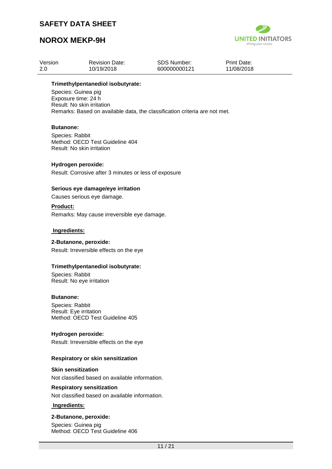# **NOROX MEKP-9H**



| Version | <b>Revision Date:</b> | SDS Number:  | <b>Print Date:</b> |
|---------|-----------------------|--------------|--------------------|
| -2.0    | 10/19/2018            | 600000000121 | 11/08/2018         |

#### **Trimethylpentanediol isobutyrate:**

Species: Guinea pig Exposure time: 24 h Result: No skin irritation Remarks: Based on available data, the classification criteria are not met.

#### **Butanone:**

Species: Rabbit Method: OECD Test Guideline 404 Result: No skin irritation

#### **Hydrogen peroxide:**

Result: Corrosive after 3 minutes or less of exposure

#### **Serious eye damage/eye irritation**

Causes serious eye damage.

#### **Product:**

Remarks: May cause irreversible eye damage.

#### **Ingredients:**

#### **2-Butanone, peroxide:**

Result: Irreversible effects on the eye

#### **Trimethylpentanediol isobutyrate:**

Species: Rabbit Result: No eye irritation

#### **Butanone:**

Species: Rabbit Result: Eye irritation Method: OECD Test Guideline 405

#### **Hydrogen peroxide:**

Result: Irreversible effects on the eye

#### **Respiratory or skin sensitization**

#### **Skin sensitization**

Not classified based on available information.

#### **Respiratory sensitization**

Not classified based on available information.

## **Ingredients:**

#### **2-Butanone, peroxide:**

Species: Guinea pig Method: OECD Test Guideline 406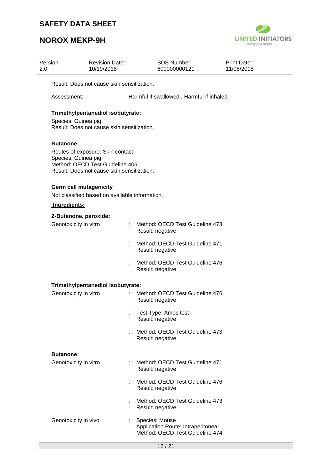

| Version<br>2.0   | <b>Revision Date:</b><br>10/19/2018                                                                                                                          |  | <b>SDS Number:</b><br>600000000121                                                      | <b>Print Date:</b><br>11/08/2018 |  |  |  |  |
|------------------|--------------------------------------------------------------------------------------------------------------------------------------------------------------|--|-----------------------------------------------------------------------------------------|----------------------------------|--|--|--|--|
|                  | Result: Does not cause skin sensitization.                                                                                                                   |  |                                                                                         |                                  |  |  |  |  |
|                  | Assessment:                                                                                                                                                  |  | Harmful if swallowed., Harmful if inhaled.                                              |                                  |  |  |  |  |
|                  | Trimethylpentanediol isobutyrate:<br>Species: Guinea pig<br>Result: Does not cause skin sensitization.                                                       |  |                                                                                         |                                  |  |  |  |  |
|                  | <b>Butanone:</b><br>Routes of exposure: Skin contact<br>Species: Guinea pig<br>Method: OECD Test Guideline 406<br>Result: Does not cause skin sensitization. |  |                                                                                         |                                  |  |  |  |  |
|                  | <b>Germ cell mutagenicity</b><br>Not classified based on available information.                                                                              |  |                                                                                         |                                  |  |  |  |  |
|                  | Ingredients:                                                                                                                                                 |  |                                                                                         |                                  |  |  |  |  |
|                  | 2-Butanone, peroxide:                                                                                                                                        |  |                                                                                         |                                  |  |  |  |  |
|                  | Genotoxicity in vitro                                                                                                                                        |  | Method: OECD Test Guideline 473<br>Result: negative                                     |                                  |  |  |  |  |
|                  |                                                                                                                                                              |  | Method: OECD Test Guideline 471<br>Result: negative                                     |                                  |  |  |  |  |
|                  |                                                                                                                                                              |  | Method: OECD Test Guideline 476<br>Result: negative                                     |                                  |  |  |  |  |
|                  | Trimethylpentanediol isobutyrate:                                                                                                                            |  |                                                                                         |                                  |  |  |  |  |
|                  | Genotoxicity in vitro                                                                                                                                        |  | Method: OECD Test Guideline 476<br>Result: negative                                     |                                  |  |  |  |  |
|                  |                                                                                                                                                              |  | : Test Type: Ames test<br>Result: negative                                              |                                  |  |  |  |  |
|                  |                                                                                                                                                              |  | Method: OECD Test Guideline 473<br>Result: negative                                     |                                  |  |  |  |  |
| <b>Butanone:</b> |                                                                                                                                                              |  |                                                                                         |                                  |  |  |  |  |
|                  | Genotoxicity in vitro                                                                                                                                        |  | : Method: OECD Test Guideline 471<br>Result: negative                                   |                                  |  |  |  |  |
|                  |                                                                                                                                                              |  | Method: OECD Test Guideline 476<br>Result: negative                                     |                                  |  |  |  |  |
|                  |                                                                                                                                                              |  | Method: OECD Test Guideline 473<br>Result: negative                                     |                                  |  |  |  |  |
|                  | Genotoxicity in vivo                                                                                                                                         |  | Species: Mouse<br>Application Route: Intraperitoneal<br>Method: OECD Test Guideline 474 |                                  |  |  |  |  |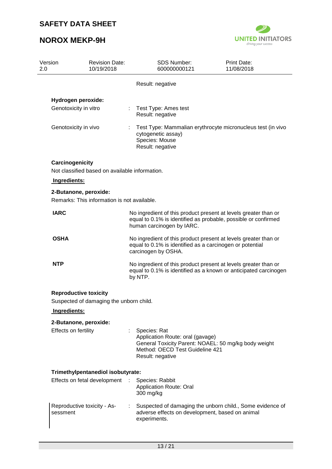

| Version<br>2.0       | <b>Revision Date:</b><br>10/19/2018                                     |                                                                                                                                                    | <b>SDS Number:</b><br>600000000121                                                                        | <b>Print Date:</b><br>11/08/2018                                                                                                  |  |
|----------------------|-------------------------------------------------------------------------|----------------------------------------------------------------------------------------------------------------------------------------------------|-----------------------------------------------------------------------------------------------------------|-----------------------------------------------------------------------------------------------------------------------------------|--|
|                      |                                                                         |                                                                                                                                                    | Result: negative                                                                                          |                                                                                                                                   |  |
|                      | Hydrogen peroxide:                                                      |                                                                                                                                                    |                                                                                                           |                                                                                                                                   |  |
|                      | Genotoxicity in vitro                                                   |                                                                                                                                                    | Test Type: Ames test<br>Result: negative                                                                  |                                                                                                                                   |  |
|                      | Genotoxicity in vivo                                                    |                                                                                                                                                    | cytogenetic assay)<br>Species: Mouse<br>Result: negative                                                  | Test Type: Mammalian erythrocyte micronucleus test (in vivo                                                                       |  |
| Carcinogenicity      |                                                                         |                                                                                                                                                    |                                                                                                           |                                                                                                                                   |  |
| Ingredients:         | Not classified based on available information.                          |                                                                                                                                                    |                                                                                                           |                                                                                                                                   |  |
|                      | 2-Butanone, peroxide:                                                   |                                                                                                                                                    |                                                                                                           |                                                                                                                                   |  |
|                      | Remarks: This information is not available.                             |                                                                                                                                                    |                                                                                                           |                                                                                                                                   |  |
| <b>IARC</b>          |                                                                         |                                                                                                                                                    | human carcinogen by IARC.                                                                                 | No ingredient of this product present at levels greater than or<br>equal to 0.1% is identified as probable, possible or confirmed |  |
| <b>OSHA</b>          |                                                                         | No ingredient of this product present at levels greater than or<br>equal to 0.1% is identified as a carcinogen or potential<br>carcinogen by OSHA. |                                                                                                           |                                                                                                                                   |  |
| <b>NTP</b>           |                                                                         | No ingredient of this product present at levels greater than or<br>equal to 0.1% is identified as a known or anticipated carcinogen<br>by NTP.     |                                                                                                           |                                                                                                                                   |  |
|                      | <b>Reproductive toxicity</b><br>Suspected of damaging the unborn child. |                                                                                                                                                    |                                                                                                           |                                                                                                                                   |  |
| Ingredients:         |                                                                         |                                                                                                                                                    |                                                                                                           |                                                                                                                                   |  |
|                      | 2-Butanone, peroxide:                                                   |                                                                                                                                                    |                                                                                                           |                                                                                                                                   |  |
| Effects on fertility |                                                                         |                                                                                                                                                    | : Species: Rat<br>Application Route: oral (gavage)<br>Method: OECD Test Guideline 421<br>Result: negative | General Toxicity Parent: NOAEL: 50 mg/kg body weight                                                                              |  |
|                      | Trimethylpentanediol isobutyrate:                                       |                                                                                                                                                    |                                                                                                           |                                                                                                                                   |  |
|                      | Effects on fetal development                                            |                                                                                                                                                    | Species: Rabbit<br><b>Application Route: Oral</b><br>300 mg/kg                                            |                                                                                                                                   |  |
| sessment             | Reproductive toxicity - As-                                             |                                                                                                                                                    | adverse effects on development, based on animal<br>experiments.                                           | Suspected of damaging the unborn child., Some evidence of                                                                         |  |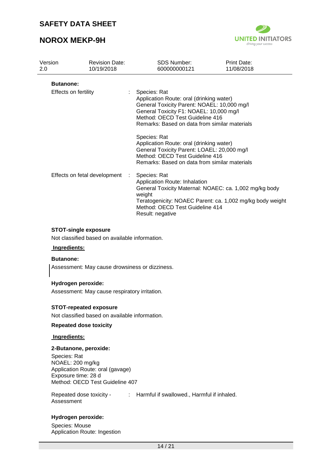## **NOROX MEKP-9H**



| Version<br>2.0              | <b>Revision Date:</b><br>10/19/2018 | <b>SDS Number:</b><br>600000000121                                                                                                                                                          | <b>Print Date:</b><br>11/08/2018                                                                                                                                                                                       |  |  |
|-----------------------------|-------------------------------------|---------------------------------------------------------------------------------------------------------------------------------------------------------------------------------------------|------------------------------------------------------------------------------------------------------------------------------------------------------------------------------------------------------------------------|--|--|
|                             | <b>Butanone:</b>                    |                                                                                                                                                                                             |                                                                                                                                                                                                                        |  |  |
| <b>Effects on fertility</b> |                                     | Species: Rat                                                                                                                                                                                | Application Route: oral (drinking water)<br>General Toxicity Parent: NOAEL: 10,000 mg/l<br>General Toxicity F1: NOAEL: 10,000 mg/l<br>Method: OECD Test Guideline 416<br>Remarks: Based on data from similar materials |  |  |
|                             |                                     | Species: Rat<br>Application Route: oral (drinking water)<br>General Toxicity Parent: LOAEL: 20,000 mg/l<br>Method: OECD Test Guideline 416<br>Remarks: Based on data from similar materials |                                                                                                                                                                                                                        |  |  |
|                             | Effects on fetal development        | Species: Rat<br>Application Route: Inhalation<br>weight<br>Method: OECD Test Guideline 414<br>Result: negative                                                                              | General Toxicity Maternal: NOAEC: ca. 1,002 mg/kg body<br>Teratogenicity: NOAEC Parent: ca. 1,002 mg/kg body weight                                                                                                    |  |  |
|                             | STOT-single exposure                |                                                                                                                                                                                             |                                                                                                                                                                                                                        |  |  |

**STOT-single exposure**

Not classified based on available information.

## **Ingredients:**

#### **Butanone:**

Assessment: May cause drowsiness or dizziness.

#### **Hydrogen peroxide:**

Assessment: May cause respiratory irritation.

#### **STOT-repeated exposure**

Not classified based on available information.

### **Repeated dose toxicity**

#### **Ingredients:**

#### **2-Butanone, peroxide:**

Species: Rat NOAEL: 200 mg/kg Application Route: oral (gavage) Exposure time: 28 d Method: OECD Test Guideline 407

Repeated dose toxicity - : Harmful if swallowed., Harmful if inhaled. Assessment

### **Hydrogen peroxide:**

Species: Mouse Application Route: Ingestion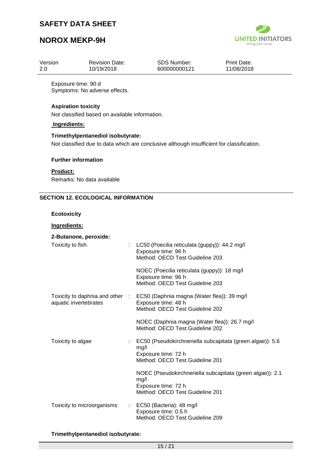# **NOROX MEKP-9H**



| Version | <b>Revision Date:</b> | SDS Number:  | <b>Print Date:</b> |
|---------|-----------------------|--------------|--------------------|
| -2.0    | 10/19/2018            | 600000000121 | 11/08/2018         |

Exposure time: 90 d Symptoms: No adverse effects.

### **Aspiration toxicity**

Not classified based on available information.

### **Ingredients:**

#### **Trimethylpentanediol isobutyrate:**

Not classified due to data which are conclusive although insufficient for classification.

#### **Further information**

#### **Product:**

Remarks: No data available

#### **SECTION 12. ECOLOGICAL INFORMATION**

#### **Ecotoxicity**

#### **Ingredients:**

| 2-Butanone, peroxide:                                    |    |                                                                                                                             |
|----------------------------------------------------------|----|-----------------------------------------------------------------------------------------------------------------------------|
| Toxicity to fish                                         | t. | LC50 (Poecilia reticulata (guppy)): 44.2 mg/l<br>Exposure time: 96 h<br>Method: OECD Test Guideline 203                     |
|                                                          |    | NOEC (Poecilia reticulata (guppy)): 18 mg/l<br>Exposure time: 96 h<br>Method: OECD Test Guideline 203                       |
| Toxicity to daphnia and other :<br>aquatic invertebrates |    | EC50 (Daphnia magna (Water flea)): 39 mg/l<br>Exposure time: 48 h<br>Method: OECD Test Guideline 202                        |
|                                                          |    | NOEC (Daphnia magna (Water flea)): 26.7 mg/l<br>Method: OECD Test Guideline 202                                             |
| Toxicity to algae                                        | ÷. | EC50 (Pseudokirchneriella subcapitata (green algae)): 5.6<br>mg/l<br>Exposure time: 72 h<br>Method: OECD Test Guideline 201 |
|                                                          |    | NOEC (Pseudokirchneriella subcapitata (green algae)): 2.1<br>mg/l<br>Exposure time: 72 h<br>Method: OECD Test Guideline 201 |
| Toxicity to microorganisms                               |    | EC50 (Bacteria): 48 mg/l<br>Exposure time: 0.5 h<br>Method: OECD Test Guideline 209                                         |

**Trimethylpentanediol isobutyrate:**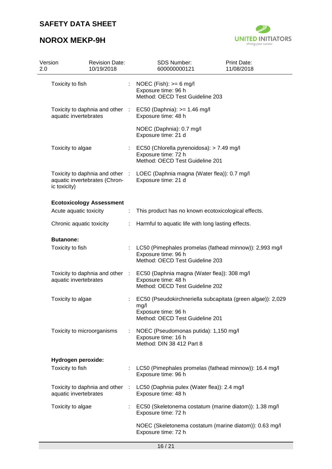

| 2.0 | Version<br><b>Revision Date:</b><br>10/19/2018                                   |   | <b>SDS Number:</b><br>600000000121                                                                                            | <b>Print Date:</b><br>11/08/2018 |
|-----|----------------------------------------------------------------------------------|---|-------------------------------------------------------------------------------------------------------------------------------|----------------------------------|
|     | Toxicity to fish                                                                 |   | NOEC (Fish): $>= 6$ mg/l<br>Exposure time: 96 h<br>Method: OECD Test Guideline 203                                            |                                  |
|     | aquatic invertebrates                                                            |   | Toxicity to daphnia and other : EC50 (Daphnia): >= 1.46 mg/l<br>Exposure time: 48 h                                           |                                  |
|     |                                                                                  |   | NOEC (Daphnia): 0.7 mg/l<br>Exposure time: 21 d                                                                               |                                  |
|     | Toxicity to algae                                                                |   | EC50 (Chlorella pyrenoidosa): > 7.49 mg/l<br>Exposure time: 72 h<br>Method: OECD Test Guideline 201                           |                                  |
|     | Toxicity to daphnia and other :<br>aquatic invertebrates (Chron-<br>ic toxicity) |   | LOEC (Daphnia magna (Water flea)): 0.7 mg/l<br>Exposure time: 21 d                                                            |                                  |
|     | <b>Ecotoxicology Assessment</b>                                                  |   |                                                                                                                               |                                  |
|     | Acute aquatic toxicity                                                           | ÷ | This product has no known ecotoxicological effects.                                                                           |                                  |
|     | Chronic aquatic toxicity                                                         | ÷ | Harmful to aquatic life with long lasting effects.                                                                            |                                  |
|     | <b>Butanone:</b>                                                                 |   |                                                                                                                               |                                  |
|     | Toxicity to fish                                                                 |   | LC50 (Pimephales promelas (fathead minnow)): 2,993 mg/l<br>Exposure time: 96 h<br>Method: OECD Test Guideline 203             |                                  |
|     | Toxicity to daphnia and other :<br>aquatic invertebrates                         |   | EC50 (Daphnia magna (Water flea)): 308 mg/l<br>Exposure time: 48 h<br>Method: OECD Test Guideline 202                         |                                  |
|     | Toxicity to algae                                                                |   | EC50 (Pseudokirchneriella subcapitata (green algae)): 2,029<br>mq/l<br>Exposure time: 96 h<br>Method: OECD Test Guideline 201 |                                  |
|     | Toxicity to microorganisms                                                       |   | NOEC (Pseudomonas putida): 1,150 mg/l<br>Exposure time: 16 h<br>Method: DIN 38 412 Part 8                                     |                                  |
|     | Hydrogen peroxide:                                                               |   |                                                                                                                               |                                  |
|     | Toxicity to fish                                                                 |   | LC50 (Pimephales promelas (fathead minnow)): 16.4 mg/l<br>Exposure time: 96 h                                                 |                                  |
|     | Toxicity to daphnia and other :<br>aquatic invertebrates                         |   | LC50 (Daphnia pulex (Water flea)): 2.4 mg/l<br>Exposure time: 48 h                                                            |                                  |
|     | Toxicity to algae                                                                |   | EC50 (Skeletonema costatum (marine diatom)): 1.38 mg/l<br>Exposure time: 72 h                                                 |                                  |
|     |                                                                                  |   | NOEC (Skeletonema costatum (marine diatom)): 0.63 mg/l<br>Exposure time: 72 h                                                 |                                  |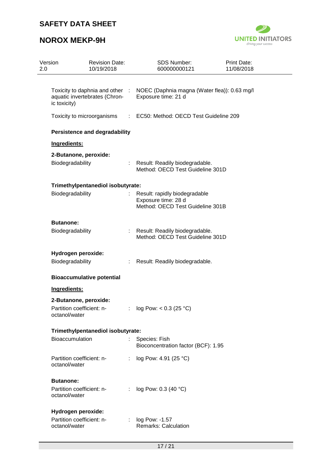

| Version<br>2.0   | <b>Revision Date:</b><br>10/19/2018                              | <b>SDS Number:</b><br>600000000121                                                       | <b>Print Date:</b><br>11/08/2018 |
|------------------|------------------------------------------------------------------|------------------------------------------------------------------------------------------|----------------------------------|
| ic toxicity)     | Toxicity to daphnia and other :<br>aquatic invertebrates (Chron- | NOEC (Daphnia magna (Water flea)): 0.63 mg/l<br>Exposure time: 21 d                      |                                  |
|                  | Toxicity to microorganisms                                       | : EC50: Method: OECD Test Guideline 209                                                  |                                  |
|                  | <b>Persistence and degradability</b>                             |                                                                                          |                                  |
| Ingredients:     |                                                                  |                                                                                          |                                  |
|                  | 2-Butanone, peroxide:                                            |                                                                                          |                                  |
| Biodegradability |                                                                  | Result: Readily biodegradable.<br>Method: OECD Test Guideline 301D                       |                                  |
|                  | Trimethylpentanediol isobutyrate:                                |                                                                                          |                                  |
| Biodegradability |                                                                  | Result: rapidly biodegradable<br>Exposure time: 28 d<br>Method: OECD Test Guideline 301B |                                  |
| <b>Butanone:</b> |                                                                  |                                                                                          |                                  |
| Biodegradability | t.                                                               | Result: Readily biodegradable.<br>Method: OECD Test Guideline 301D                       |                                  |
|                  | Hydrogen peroxide:                                               |                                                                                          |                                  |
| Biodegradability | ÷                                                                | Result: Readily biodegradable.                                                           |                                  |
|                  | <b>Bioaccumulative potential</b>                                 |                                                                                          |                                  |
| Ingredients:     |                                                                  |                                                                                          |                                  |
|                  | 2-Butanone, peroxide:                                            |                                                                                          |                                  |
| octanol/water    | Partition coefficient: n-                                        | : $log Pow: < 0.3 (25 °C)$                                                               |                                  |
|                  | Trimethylpentanediol isobutyrate:                                |                                                                                          |                                  |
| Bioaccumulation  | t.                                                               | Species: Fish<br>Bioconcentration factor (BCF): 1.95                                     |                                  |
| octanol/water    | Partition coefficient: n-<br>÷                                   | log Pow: 4.91 (25 °C)                                                                    |                                  |
| <b>Butanone:</b> |                                                                  |                                                                                          |                                  |
| octanol/water    | Partition coefficient: n-<br>÷                                   | log Pow: 0.3 (40 °C)                                                                     |                                  |
|                  | Hydrogen peroxide:                                               |                                                                                          |                                  |
| octanol/water    | Partition coefficient: n-                                        | log Pow: -1.57<br>Remarks: Calculation                                                   |                                  |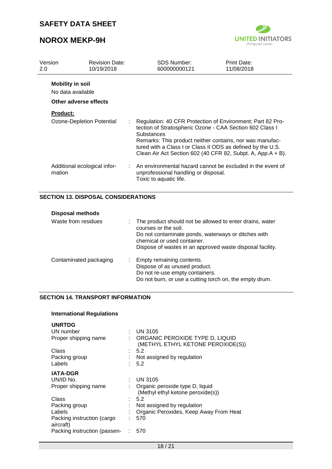# **NOROX MEKP-9H**



| Version<br>2.0 |                                                                       | <b>Revision Date:</b><br>10/19/2018 | SDS Number:<br>600000000121                                                                                                                                                                                                                                                                                                    | Print Date:<br>11/08/2018 |
|----------------|-----------------------------------------------------------------------|-------------------------------------|--------------------------------------------------------------------------------------------------------------------------------------------------------------------------------------------------------------------------------------------------------------------------------------------------------------------------------|---------------------------|
|                | <b>Mobility in soil</b><br>No data available<br>Other adverse effects |                                     |                                                                                                                                                                                                                                                                                                                                |                           |
|                | <b>Product:</b>                                                       |                                     |                                                                                                                                                                                                                                                                                                                                |                           |
|                | Ozone-Depletion Potential                                             |                                     | Regulation: 40 CFR Protection of Environment; Part 82 Pro-<br>tection of Stratospheric Ozone - CAA Section 602 Class I<br>Substances<br>Remarks: This product neither contains, nor was manufac-<br>tured with a Class I or Class II ODS as defined by the U.S.<br>Clean Air Act Section 602 (40 CFR 82, Subpt. A, App.A + B). |                           |
|                | Additional ecological infor-<br>mation                                |                                     | $\therefore$ An environmental hazard cannot be excluded in the event of<br>unprofessional handling or disposal.<br>Toxic to aquatic life.                                                                                                                                                                                      |                           |

### **SECTION 13. DISPOSAL CONSIDERATIONS**

| <b>Disposal methods</b> |                                                                                                                                                                                                                                     |
|-------------------------|-------------------------------------------------------------------------------------------------------------------------------------------------------------------------------------------------------------------------------------|
| Waste from residues     | The product should not be allowed to enter drains, water<br>courses or the soil.<br>Do not contaminate ponds, waterways or ditches with<br>chemical or used container.<br>Dispose of wastes in an approved waste disposal facility. |
| Contaminated packaging  | Empty remaining contents.<br>Dispose of as unused product.<br>Do not re-use empty containers.<br>Do not burn, or use a cutting torch on, the empty drum.                                                                            |

### **SECTION 14. TRANSPORT INFORMATION**

| <b>International Regulations</b> |  |
|----------------------------------|--|
|----------------------------------|--|

| <b>UNRTDG</b><br>UN number              | <b>UN 3105</b>                                                       |
|-----------------------------------------|----------------------------------------------------------------------|
| Proper shipping name                    | ORGANIC PEROXIDE TYPE D, LIQUID<br>(METHYL ETHYL KETONE PEROXIDE(S)) |
| Class                                   | 5.2                                                                  |
| Packing group                           | Not assigned by regulation                                           |
| Labels                                  | 5.2                                                                  |
| <b>IATA-DGR</b>                         |                                                                      |
| UN/ID No.                               | <b>UN 3105</b>                                                       |
| Proper shipping name                    | Organic peroxide type D, liquid<br>(Methyl ethyl ketone peroxide(s)) |
| Class                                   | 5.2                                                                  |
| Packing group                           | Not assigned by regulation                                           |
| Labels                                  | Organic Peroxides, Keep Away From Heat                               |
| Packing instruction (cargo<br>aircraft) | 570                                                                  |
| Packing instruction (passen-            | 570                                                                  |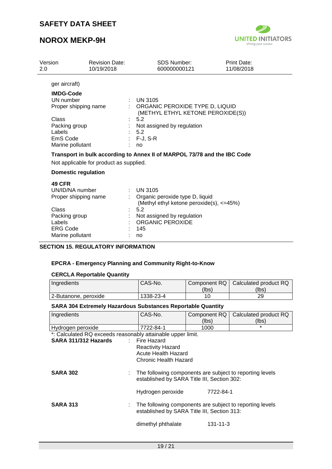# **NOROX MEKP-9H**



| 2.0 | Version                    | <b>Revision Date:</b><br>10/19/2018     | <b>SDS Number:</b><br>600000000121                                       | Print Date:<br>11/08/2018 |
|-----|----------------------------|-----------------------------------------|--------------------------------------------------------------------------|---------------------------|
|     | ger aircraft)              |                                         |                                                                          |                           |
|     | <b>IMDG-Code</b>           |                                         |                                                                          |                           |
|     | UN number                  |                                         | <b>UN 3105</b>                                                           |                           |
|     | Proper shipping name       | ÷.                                      | ORGANIC PEROXIDE TYPE D, LIQUID<br>(METHYL ETHYL KETONE PEROXIDE(S))     |                           |
|     | Class                      |                                         | 5.2                                                                      |                           |
|     | Packing group              |                                         | Not assigned by regulation                                               |                           |
|     | Labels                     |                                         | 5.2                                                                      |                           |
|     | EmS Code                   |                                         | $: F-J, S-R$                                                             |                           |
|     | Marine pollutant           |                                         | no                                                                       |                           |
|     |                            |                                         | Transport in bulk according to Annex II of MARPOL 73/78 and the IBC Code |                           |
|     |                            | Not applicable for product as supplied. |                                                                          |                           |
|     | <b>Domestic regulation</b> |                                         |                                                                          |                           |
|     | <b>49 CFR</b>              |                                         |                                                                          |                           |
|     | UN/ID/NA number            |                                         | $\therefore$ UN 3105                                                     |                           |
|     | Proper shipping name       |                                         | Organic peroxide type D, liquid                                          |                           |
|     |                            |                                         | (Methyl ethyl ketone peroxide(s), <=45%)                                 |                           |
|     | Class                      |                                         | 5.2                                                                      |                           |
|     | Packing group              | ÷.                                      | Not assigned by regulation                                               |                           |
|     | Labels                     |                                         | <b>ORGANIC PEROXIDE</b>                                                  |                           |
|     | <b>ERG Code</b>            |                                         | 145                                                                      |                           |
|     | Marine pollutant           |                                         | no                                                                       |                           |

## **SECTION 15. REGULATORY INFORMATION**

#### **EPCRA - Emergency Planning and Community Right-to-Know**

### **CERCLA Reportable Quantity**

| Ingredients          | CAS-No.   |       | Component RQ   Calculated product RQ |
|----------------------|-----------|-------|--------------------------------------|
|                      |           | (lbs) | (lbs)                                |
| 2-Butanone, peroxide | 1338-23-4 |       | 29                                   |

#### **SARA 304 Extremely Hazardous Substances Reportable Quantity**

| Ingredients                                                 | CAS-No.                                                  | Component RQ   | Calculated product RQ |
|-------------------------------------------------------------|----------------------------------------------------------|----------------|-----------------------|
|                                                             |                                                          | (lbs)          | (lbs)                 |
| Hydrogen peroxide                                           | 7722-84-1                                                | 1000           | $\star$               |
| *: Calculated RQ exceeds reasonably attainable upper limit. |                                                          |                |                       |
| SARA 311/312 Hazards                                        | : Fire Hazard                                            |                |                       |
|                                                             | <b>Reactivity Hazard</b>                                 |                |                       |
|                                                             | Acute Health Hazard                                      |                |                       |
|                                                             | <b>Chronic Health Hazard</b>                             |                |                       |
|                                                             |                                                          |                |                       |
| <b>SARA 302</b>                                             | The following components are subject to reporting levels |                |                       |
|                                                             | established by SARA Title III, Section 302:              |                |                       |
|                                                             |                                                          | 7722-84-1      |                       |
|                                                             | Hydrogen peroxide                                        |                |                       |
| <b>SARA 313</b>                                             | The following components are subject to reporting levels |                |                       |
|                                                             | established by SARA Title III, Section 313:              |                |                       |
|                                                             |                                                          |                |                       |
|                                                             | dimethyl phthalate                                       | $131 - 11 - 3$ |                       |
|                                                             |                                                          |                |                       |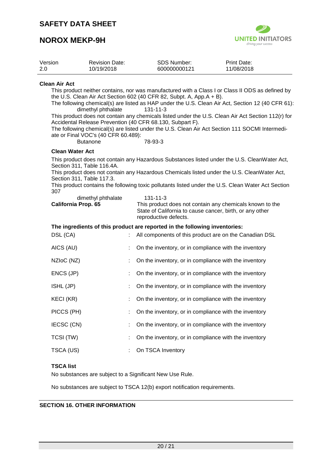## **NOROX MEKP-9H**



| Version | <b>Revision Date:</b> | SDS Number:  | Print Date: |
|---------|-----------------------|--------------|-------------|
| -2.0    | 10/19/2018            | 600000000121 | 11/08/2018  |

#### **Clean Air Act**

This product neither contains, nor was manufactured with a Class I or Class II ODS as defined by the U.S. Clean Air Act Section 602 (40 CFR 82, Subpt. A, App.A + B).

The following chemical(s) are listed as HAP under the U.S. Clean Air Act, Section 12 (40 CFR 61):<br>dimethyl phthalate 131-11-3 dimethyl phthalate

This product does not contain any chemicals listed under the U.S. Clean Air Act Section 112(r) for Accidental Release Prevention (40 CFR 68.130, Subpart F).

The following chemical(s) are listed under the U.S. Clean Air Act Section 111 SOCMI Intermediate or Final VOC's (40 CFR 60.489):

Butanone 78-93-3

#### **Clean Water Act**

This product does not contain any Hazardous Substances listed under the U.S. CleanWater Act, Section 311, Table 116.4A.

This product does not contain any Hazardous Chemicals listed under the U.S. CleanWater Act, Section 311, Table 117.3.

This product contains the following toxic pollutants listed under the U.S. Clean Water Act Section 307

| dimethyl phthalate         | $131 - 11 - 3$                                           |
|----------------------------|----------------------------------------------------------|
| <b>California Prop. 65</b> | This product does not contain any chemicals known to the |
|                            | State of California to cause cancer, birth, or any other |
|                            | reproductive defects.                                    |

#### **The ingredients of this product are reported in the following inventories:**

| DSL (CA)         | All components of this product are on the Canadian DSL |
|------------------|--------------------------------------------------------|
| AICS (AU)        | On the inventory, or in compliance with the inventory  |
| NZIoC (NZ)       | On the inventory, or in compliance with the inventory  |
| ENCS (JP)        | On the inventory, or in compliance with the inventory  |
| ISHL (JP)        | On the inventory, or in compliance with the inventory  |
| <b>KECI (KR)</b> | On the inventory, or in compliance with the inventory  |
| PICCS (PH)       | On the inventory, or in compliance with the inventory  |
| IECSC (CN)       | On the inventory, or in compliance with the inventory  |
| TCSI (TW)        | On the inventory, or in compliance with the inventory  |
| TSCA (US)        | On TSCA Inventory                                      |

#### **TSCA list**

No substances are subject to a Significant New Use Rule.

No substances are subject to TSCA 12(b) export notification requirements.

#### **SECTION 16. OTHER INFORMATION**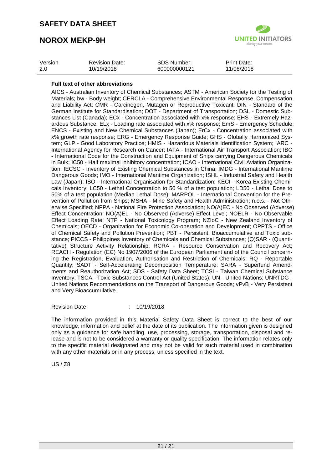# **NOROX MEKP-9H**



| Version | <b>Revision Date:</b> | <b>SDS Number:</b> | Print Date: |
|---------|-----------------------|--------------------|-------------|
| 2.0     | 10/19/2018            | 600000000121       | 11/08/2018  |

#### **Full text of other abbreviations**

AICS - Australian Inventory of Chemical Substances; ASTM - American Society for the Testing of Materials; bw - Body weight; CERCLA - Comprehensive Environmental Response, Compensation, and Liability Act; CMR - Carcinogen, Mutagen or Reproductive Toxicant; DIN - Standard of the German Institute for Standardisation; DOT - Department of Transportation; DSL - Domestic Substances List (Canada); ECx - Concentration associated with x% response; EHS - Extremely Hazardous Substance; ELx - Loading rate associated with x% response; EmS - Emergency Schedule; ENCS - Existing and New Chemical Substances (Japan); ErCx - Concentration associated with x% growth rate response; ERG - Emergency Response Guide; GHS - Globally Harmonized System; GLP - Good Laboratory Practice; HMIS - Hazardous Materials Identification System; IARC - International Agency for Research on Cancer; IATA - International Air Transport Association; IBC - International Code for the Construction and Equipment of Ships carrying Dangerous Chemicals in Bulk; IC50 - Half maximal inhibitory concentration; ICAO - International Civil Aviation Organization; IECSC - Inventory of Existing Chemical Substances in China; IMDG - International Maritime Dangerous Goods; IMO - International Maritime Organization; ISHL - Industrial Safety and Health Law (Japan); ISO - International Organisation for Standardization; KECI - Korea Existing Chemicals Inventory; LC50 - Lethal Concentration to 50 % of a test population; LD50 - Lethal Dose to 50% of a test population (Median Lethal Dose); MARPOL - International Convention for the Prevention of Pollution from Ships; MSHA - Mine Safety and Health Administration; n.o.s. - Not Otherwise Specified; NFPA - National Fire Protection Association; NO(A)EC - No Observed (Adverse) Effect Concentration; NO(A)EL - No Observed (Adverse) Effect Level; NOELR - No Observable Effect Loading Rate; NTP - National Toxicology Program; NZIoC - New Zealand Inventory of Chemicals; OECD - Organization for Economic Co-operation and Development; OPPTS - Office of Chemical Safety and Pollution Prevention; PBT - Persistent, Bioaccumulative and Toxic substance; PICCS - Philippines Inventory of Chemicals and Chemical Substances; (Q)SAR - (Quantitative) Structure Activity Relationship; RCRA - Resource Conservation and Recovery Act; REACH - Regulation (EC) No 1907/2006 of the European Parliament and of the Council concerning the Registration, Evaluation, Authorisation and Restriction of Chemicals; RQ - Reportable Quantity; SADT - Self-Accelerating Decomposition Temperature; SARA - Superfund Amendments and Reauthorization Act; SDS - Safety Data Sheet; TCSI - Taiwan Chemical Substance Inventory; TSCA - Toxic Substances Control Act (United States); UN - United Nations; UNRTDG - United Nations Recommendations on the Transport of Dangerous Goods; vPvB - Very Persistent and Very Bioaccumulative

#### Revision Date : 10/19/2018

The information provided in this Material Safety Data Sheet is correct to the best of our knowledge, information and belief at the date of its publication. The information given is designed only as a guidance for safe handling, use, processing, storage, transportation, disposal and release and is not to be considered a warranty or quality specification. The information relates only to the specific material designated and may not be valid for such material used in combination with any other materials or in any process, unless specified in the text.

US / Z8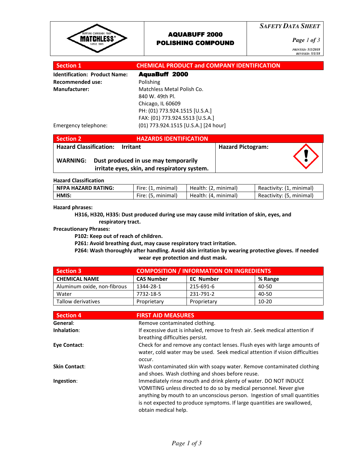

## AQUABUFF 2000 POLISHING COMPOUND

*SAFETY DATA SHEET*

*Page 1 of 3*

*PRINTED: 5/1/2018 REVISED: 5/1/18* 

| <b>Section 1</b>                     | <b>CHEMICAL PRODUCT and COMPANY IDENTIFICATION</b> |
|--------------------------------------|----------------------------------------------------|
| <b>Identification: Product Name:</b> | <b>AquaBuff 2000</b>                               |
| <b>Recommended use:</b>              | Polishing                                          |
| <b>Manufacturer:</b>                 | Matchless Metal Polish Co.                         |
|                                      | 840 W. 49th Pl.                                    |
|                                      | Chicago, IL 60609                                  |
|                                      | PH: (01) 773.924.1515 [U.S.A.]                     |
|                                      | FAX: (01) 773.924.5513 [U.S.A.]                    |
| Emergency telephone:                 | (01) 773.924.1515 [U.S.A.] [24 hour]               |

| <b>Section 2</b> | <b>HAZARDS IDENTIFICATION</b>                                                                                                  |                          |  |
|------------------|--------------------------------------------------------------------------------------------------------------------------------|--------------------------|--|
| <b>WARNING:</b>  | <b>Hazard Classification: Irritant</b><br>Dust produced in use may temporarily<br>irritate eyes, skin, and respiratory system. | <b>Hazard Pictogram:</b> |  |

#### Hazard Classification

| NFPA HAZARD RATING: | Fire: (1, minimal) | Health: (2, minimal) | Reactivity: (1, minimal) |
|---------------------|--------------------|----------------------|--------------------------|
| HMIS:               | Fire: (5, minimal) | Health: (4, minimal) | Reactivity: (5, minimal) |

#### Hazard phrases:

 H316, H320, H335: Dust produced during use may cause mild irritation of skin, eyes, and respiratory tract.

#### Precautionary Phrases:

P102: Keep out of reach of children.

P261: Avoid breathing dust, may cause respiratory tract irritation.

 P264: Wash thoroughly after handling. Avoid skin irritation by wearing protective gloves. If needed wear eye protection and dust mask.

| <b>Section 3</b>            | <b>COMPOSITION / INFORMATION ON INGREDIENTS</b> |                  |         |  |
|-----------------------------|-------------------------------------------------|------------------|---------|--|
| <b>CHEMICAL NAME</b>        | <b>CAS Number</b>                               | <b>EC Number</b> | % Range |  |
| Aluminum oxide, non-fibrous | 1344-28-1                                       | 215-691-6        | 40-50   |  |
| Water                       | 7732-18-5                                       | 231-791-2        | 40-50   |  |
| Tallow derivatives          | Proprietary                                     | Proprietary      | $10-20$ |  |

| <b>Section 4</b>     | <b>FIRST AID MEASURES</b>                                                                                                                                                                                                                                                                                              |
|----------------------|------------------------------------------------------------------------------------------------------------------------------------------------------------------------------------------------------------------------------------------------------------------------------------------------------------------------|
| General:             | Remove contaminated clothing.                                                                                                                                                                                                                                                                                          |
| Inhalation:          | If excessive dust is inhaled, remove to fresh air. Seek medical attention if<br>breathing difficulties persist.                                                                                                                                                                                                        |
| Eye Contact:         | Check for and remove any contact lenses. Flush eyes with large amounts of<br>water, cold water may be used. Seek medical attention if vision difficulties<br>occur.                                                                                                                                                    |
| <b>Skin Contact:</b> | Wash contaminated skin with soapy water. Remove contaminated clothing<br>and shoes. Wash clothing and shoes before reuse.                                                                                                                                                                                              |
| Ingestion:           | Immediately rinse mouth and drink plenty of water. DO NOT INDUCE<br>VOMITING unless directed to do so by medical personnel. Never give<br>anything by mouth to an unconscious person. Ingestion of small quantities<br>is not expected to produce symptoms. If large quantities are swallowed,<br>obtain medical help. |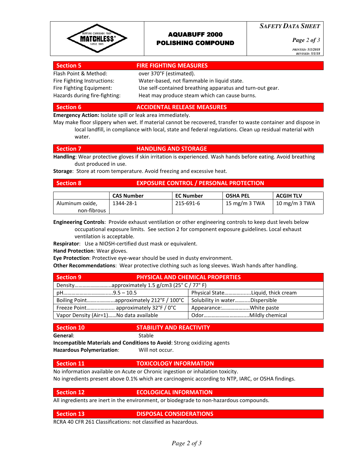

#### AQUABUFF 2000 POLISHING COMPOUND

*SAFETY DATA SHEET*

*Page 2 of 3*

*PRINTED: 5/1/2018 REVISED: 5/1/18* 

#### Section 5 **FIRE FIGHTING MEASURES**

Flash Point & Method: over 370°F (estimated). Fire Fighting Instructions: Water-based, not flammable in liquid state. Fire Fighting Equipment: Use self-contained breathing apparatus and turn-out gear. Hazards during fire-fighting: Heat may produce steam which can cause burns.

#### Section 6 ACCIDENTAL RELEASE MEASURES

**Emergency Action: Isolate spill or leak area immediately.** 

May make floor slippery when wet. If material cannot be recovered, transfer to waste container and dispose in local landfill, in compliance with local, state and federal regulations. Clean up residual material with water.

#### Section 7 **HANDLING AND STORAGE**

Handling: Wear protective gloves if skin irritation is experienced. Wash hands before eating. Avoid breathing dust produced in use.

Storage: Store at room temperature. Avoid freezing and excessive heat.

#### Section 8 **EXPOSURE CONTROL / PERSONAL PROTECTION**

|                 | <b>CAS Number</b> | <b>EC Number</b> | <b>OSHA PEL</b> | <b>ACGIH TLV</b> |
|-----------------|-------------------|------------------|-----------------|------------------|
| Aluminum oxide, | 1344-28-1         | 215-691-6        | 15 mg/m 3 TWA   | 10 mg/m 3 TWA    |
| non-fibrous     |                   |                  |                 |                  |

Engineering Controls: Provide exhaust ventilation or other engineering controls to keep dust levels below occupational exposure limits. See section 2 for component exposure guidelines. Local exhaust ventilation is acceptable.

Respirator: Use a NIOSH-certified dust mask or equivalent.

Hand Protection: Wear gloves.

Eye Protection: Protective eye-wear should be used in dusty environment.

**Other Recommendations:** Wear protective clothing such as long sleeves. Wash hands after handling.

| <b>Section 9</b>                         | <b>PHYSICAL AND CHEMICAL PROPERTIES</b> |
|------------------------------------------|-----------------------------------------|
|                                          |                                         |
|                                          | Physical StateLiquid, thick cream       |
| Boiling Pointapproximately 212°F / 100°C | Solubility in waterDispersible          |
| Freeze Point approximately 32°F / 0°C    | Appearance:White paste                  |
| Vapor Density (Air=1)No data available   |                                         |

#### Section 10 STABILITY AND REACTIVITY

General: Stable

Incompatible Materials and Conditions to Avoid: Strong oxidizing agents Hazardous Polymerization: Will not occur.

#### Section 11 **TOXICOLOGY INFORMATION**

No information available on Acute or Chronic ingestion or inhalation toxicity. No ingredients present above 0.1% which are carcinogenic according to NTP, IARC, or OSHA findings.

#### Section 12 **ECOLOGICAL INFORMATION**

All ingredients are inert in the environment, or biodegrade to non-hazardous compounds.

#### Section 13 DISPOSAL CONSIDERATIONS

RCRA 40 CFR 261 Classifications: not classified as hazardous.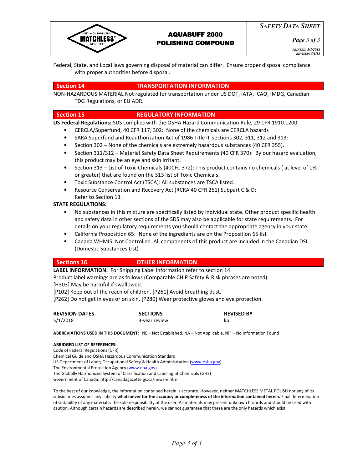

*Page 3 of 3*

*PRINTED: 5/1/2018 REVISED: 5/1/18* 

Federal, State, and Local laws governing disposal of material can differ. Ensure proper disposal compliance with proper authorities before disposal.

### Section 14 TRANSPORTATION INFORMATION

NON-HAZARDOUS MATERIAL Not regulated for transportation under US DOT, IATA, ICAO, IMDG, Canadian TDG Regulations, or EU ADR.

#### Section 15 REGULATORY INFORMATION

US Federal Regulations: SDS complies with the OSHA Hazard Communication Rule, 29 CFR 1910.1200.

- CERCLA/Superfund, 40 CFR 117, 302: None of the chemicals are CERCLA hazards
- SARA Superfund and Reauthorization Act of 1986 Title III sections 302, 311, 312 and 313:
- Section 302 None of the chemicals are extremely hazardous substances (40 CFR 355).
- Section 311/312 Material Safety Data Sheet Requirements (40 CFR 370): By our hazard evaluation, this product may be an eye and skin irritant.
- Section 313 List of Toxic Chemicals (40CFC 372): This product contains no chemicals ( at level of 1% or greater) that are found on the 313 list of Toxic Chemicals.
- Toxic Substance Control Act (TSCA): All substances are TSCA listed.
- Resource Conservation and Recovery Act (RCRA 40 CFR 261) Subpart C & D: Refer to Section 13.

## STATE REGULATIONS:

- No substances in this mixture are specifically listed by individual state. Other product specific health and safety data in other sections of the SDS may also be applicable for state requirements. For details on your regulatory requirements you should contact the appropriate agency in your state.
- California Proposition 65: None of the ingredients are on the Proposition 65 list
- Canada WHMIS: Not Controlled. All components of this product are included in the Canadian DSL (Domestic Substances List)

#### Sections 16 **OTHER INFORMATION**

LABEL INFORMATION: For Shipping Label information refer to section 14

Product label warnings are as follows (Comparable CHIP Safety & Risk phrases are noted): [H303] May be harmful if swallowed.

[P102] Keep out of the reach of children. [P261] Avoid breathing dust.

[P262] Do not get in eyes or on skin. [P280] Wear protective gloves and eye protection.

| <b>REVISION DATES</b> | <b>SECTIONS</b> | <b>REVISED BY</b> |
|-----------------------|-----------------|-------------------|
| 5/1/2018              | 3-year review   | kb                |

ABBREVIATIONS USED IN THIS DOCUMENT: NE - Not Established, NA - Not Applicable, NIF - No Information Found

#### ABRIDGED LIST OF REFERENCES:

Code of Federal Regulations (CFR) Chemical Guide and OSHA Hazardous Communication Standard US Department of Labor; Occupational Safety & Health Administration (www.osha.gov) The Environmental Protection Agency (www.epa.gov) The Globally Harmonized System of Classification and Labeling of Chemicals (GHS) Government of Canada: http://canadagazette.gc.ca/news-e.html

To the best of our knowledge, the information contained herein is accurate. However, neither MATCHLESS METAL POLISH nor any of its subsidiaries assumes any liability whatsoever for the accuracy or completeness of the information contained herein. Final determination of suitability of any material is the sole responsibility of the user. All materials may present unknown hazards and should be used with caution. Although certain hazards are described herein, we cannot guarantee that these are the only hazards which exist.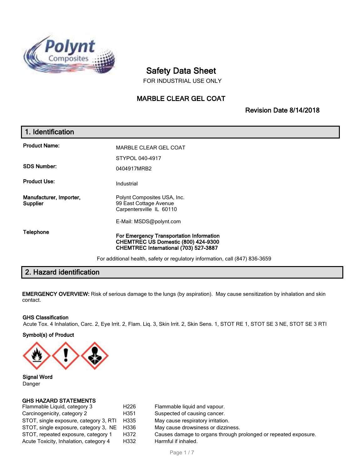

# **Safety Data Sheet**

FOR INDUSTRIAL USE ONLY

## **MARBLE CLEAR GEL COAT**

**Revision Date 8/14/2018**

## **1. Identification Product Name:** MARBLE CLEAR GEL COAT STYPOL 040-4917 **SDS Number:** 0404917MRB2 **Product Use:** Industrial **Manufacturer, Importer, Supplier** Polynt Composites USA, Inc. 99 East Cottage Avenue Carpentersville IL 60110 E-Mail: MSDS@polynt.com **Telephone For Emergency Transportation Information CHEMTREC US Domestic (800) 424-9300 CHEMTREC International (703) 527-3887** For additional health, safety or regulatory information, call (847) 836-3659

## **2. Hazard identification**

**EMERGENCY OVERVIEW:** Risk of serious damage to the lungs (by aspiration). May cause sensitization by inhalation and skin contact.

#### **GHS Classification**

Acute Tox. 4 Inhalation, Carc. 2, Eye Irrit. 2, Flam. Liq. 3, Skin Irrit. 2, Skin Sens. 1, STOT RE 1, STOT SE 3 NE, STOT SE 3 RTI

**Symbol(s) of Product**



**Signal Word** Danger

#### **GHS HAZARD STATEMENTS**

| Flammable Liquid, category 3                | H <sub>226</sub> | Flammable liquid and vapour.                                    |
|---------------------------------------------|------------------|-----------------------------------------------------------------|
| Carcinogenicity, category 2                 | H351             | Suspected of causing cancer.                                    |
| STOT, single exposure, category 3, RTI H335 |                  | May cause respiratory irritation.                               |
| STOT, single exposure, category 3, NE H336  |                  | May cause drowsiness or dizziness.                              |
| STOT, repeated exposure, category 1         | H372             | Causes damage to organs through prolonged or repeated exposure. |
| Acute Toxicity, Inhalation, category 4      | H332             | Harmful if inhaled.                                             |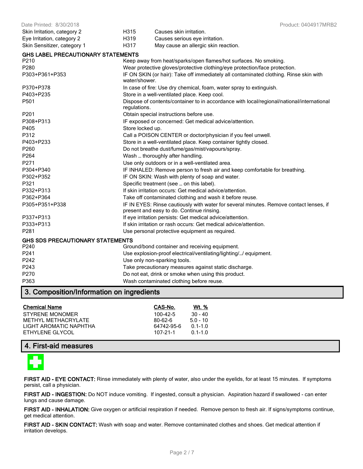| Date Printed: 8/30/2018                   |                  | Product: 0404917MRB2                                                                                                                |  |
|-------------------------------------------|------------------|-------------------------------------------------------------------------------------------------------------------------------------|--|
| Skin Irritation, category 2               | H315             | Causes skin irritation.                                                                                                             |  |
| Eye Irritation, category 2                | H319             | Causes serious eye irritation.                                                                                                      |  |
| Skin Sensitizer, category 1               | H317             | May cause an allergic skin reaction.                                                                                                |  |
| <b>GHS LABEL PRECAUTIONARY STATEMENTS</b> |                  |                                                                                                                                     |  |
| P210                                      |                  | Keep away from heat/sparks/open flames/hot surfaces. No smoking.                                                                    |  |
| P280                                      |                  | Wear protective gloves/protective clothing/eye protection/face protection.                                                          |  |
| P303+P361+P353                            | water/shower.    | IF ON SKIN (or hair): Take off immediately all contaminated clothing. Rinse skin with                                               |  |
| P370+P378                                 |                  | In case of fire: Use dry chemical, foam, water spray to extinguish.                                                                 |  |
| P403+P235                                 |                  | Store in a well-ventilated place. Keep cool.                                                                                        |  |
| P501                                      | regulations.     | Dispose of contents/container to in accordance with local/regional/national/international                                           |  |
| P201                                      |                  | Obtain special instructions before use.                                                                                             |  |
| P308+P313                                 |                  | IF exposed or concerned: Get medical advice/attention.                                                                              |  |
| P405                                      | Store locked up. |                                                                                                                                     |  |
| P312                                      |                  | Call a POISON CENTER or doctor/physician if you feel unwell.                                                                        |  |
| P403+P233                                 |                  | Store in a well-ventilated place. Keep container tightly closed.                                                                    |  |
| P260                                      |                  | Do not breathe dust/fume/gas/mist/vapours/spray.                                                                                    |  |
| P264                                      |                  | Wash  thoroughly after handling.                                                                                                    |  |
| P271                                      |                  | Use only outdoors or in a well-ventilated area.                                                                                     |  |
| P304+P340                                 |                  | IF INHALED: Remove person to fresh air and keep comfortable for breathing.                                                          |  |
| P302+P352                                 |                  | IF ON SKIN: Wash with plenty of soap and water.                                                                                     |  |
| P321                                      |                  | Specific treatment (see  on this label).                                                                                            |  |
| P332+P313                                 |                  | If skin irritation occurs: Get medical advice/attention.                                                                            |  |
| P362+P364                                 |                  | Take off contaminated clothing and wash it before reuse.                                                                            |  |
| P305+P351+P338                            |                  | IF IN EYES: Rinse cautiously with water for several minutes. Remove contact lenses, if<br>present and easy to do. Continue rinsing. |  |
| P337+P313                                 |                  | If eye irritation persists: Get medical advice/attention.                                                                           |  |
| P333+P313                                 |                  | If skin irritation or rash occurs: Get medical advice/attention.                                                                    |  |
| P281                                      |                  | Use personal protective equipment as required.                                                                                      |  |
| <b>GHS SDS PRECAUTIONARY STATEMENTS</b>   |                  |                                                                                                                                     |  |
| P240                                      |                  | Ground/bond container and receiving equipment.                                                                                      |  |
| P241                                      |                  | Use explosion-proof electrical/ventilating/lighting// equipment.                                                                    |  |
| P242                                      |                  | Use only non-sparking tools.                                                                                                        |  |
| P243                                      |                  | Take precautionary measures against static discharge.                                                                               |  |
| P270                                      |                  | Do not eat, drink or smoke when using this product.                                                                                 |  |
| P363                                      |                  | Wash contaminated clothing before reuse.                                                                                            |  |
| 3. Composition/Information on ingredients |                  |                                                                                                                                     |  |

## **Chemical Name CAS-No. Wt. %** STYRENE MONOMER 100-42-5 30 - 40 METHYL METHACRYLATE 80-62-6 5.0 - 10 LIGHT AROMATIC NAPHTHA 64742-95-6 0.1-1.0

ETHYLENE GLYCOL 107-21-1 0.1-1.0

### **4. First-aid measures**



**FIRST AID - EYE CONTACT:** Rinse immediately with plenty of water, also under the eyelids, for at least 15 minutes. If symptoms persist, call a physician.

**FIRST AID - INGESTION:** Do NOT induce vomiting. If ingested, consult a physician. Aspiration hazard if swallowed - can enter lungs and cause damage.

**FIRST AID - INHALATION:** Give oxygen or artificial respiration if needed. Remove person to fresh air. If signs/symptoms continue, get medical attention.

**FIRST AID - SKIN CONTACT:** Wash with soap and water. Remove contaminated clothes and shoes. Get medical attention if irritation develops.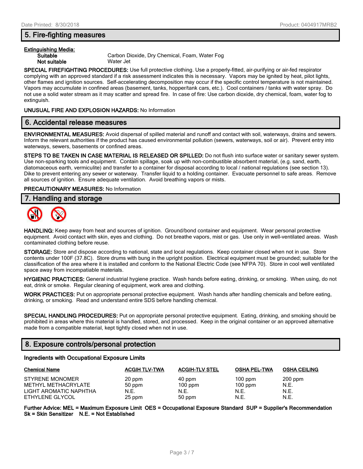### **5. Fire-fighting measures**

## **Extinguishing Media:**

**Not suitable** Water Jet

**Suitable** Carbon Dioxide, Dry Chemical, Foam, Water Fog

**SPECIAL FIREFIGHTING PROCEDURES:** Use full protective clothing. Use a properly-fitted, air-purifying or air-fed respirator complying with an approved standard if a risk assessment indicates this is necessary. Vapors may be ignited by heat, pilot lights, other flames and ignition sources. Self-accelerating decomposition may occur if the specific control temperature is not maintained. Vapors may accumulate in confined areas (basement, tanks, hopper/tank cars, etc.). Cool containers / tanks with water spray. Do not use a solid water stream as it may scatter and spread fire. In case of fire: Use carbon dioxide, dry chemical, foam, water fog to extinguish.

#### **UNUSUAL FIRE AND EXPLOSION HAZARDS:** No Information

#### **6. Accidental release measures**

**ENVIRONMENTAL MEASURES:** Avoid dispersal of spilled material and runoff and contact with soil, waterways, drains and sewers. Inform the relevant authorities if the product has caused environmental pollution (sewers, waterways, soil or air). Prevent entry into waterways, sewers, basements or confined areas.

**STEPS TO BE TAKEN IN CASE MATERIAL IS RELEASED OR SPILLED:** Do not flush into surface water or sanitary sewer system. Use non-sparking tools and equipment. Contain spillage, soak up with non-combustible absorbent material, (e.g. sand, earth, diatomaceous earth, vermiculite) and transfer to a container for disposal according to local / national regulations (see section 13). Dike to prevent entering any sewer or waterway. Transfer liquid to a holding container. Evacuate personnel to safe areas. Remove all sources of ignition. Ensure adequate ventilation. Avoid breathing vapors or mists.

#### **PRECAUTIONARY MEASURES:** No Information

#### **7. Handling and storage**



**HANDLING:** Keep away from heat and sources of ignition. Ground/bond container and equipment. Wear personal protective equipment. Avoid contact with skin, eyes and clothing. Do not breathe vapors, mist or gas. Use only in well-ventilated areas. Wash contaminated clothing before reuse.

**STORAGE:** Store and dispose according to national, state and local regulations. Keep container closed when not in use. Store contents under 100F (37.8C). Store drums with bung in the upright position. Electrical equipment must be grounded; suitable for the classification of the area where it is installed and conform to the National Electric Code (see NFPA 70). Store in cool well ventilated space away from incompatiable materials.

**HYGIENIC PRACTICES:** General industrial hygiene practice. Wash hands before eating, drinking, or smoking. When using, do not eat, drink or smoke. Regular cleaning of equipment, work area and clothing.

**WORK PRACTICES:** Put on appropriate personal protective equipment. Wash hands after handling chemicals and before eating, drinking, or smoking. Read and understand entire SDS before handling chemical.

**SPECIAL HANDLING PROCEDURES:** Put on appropriate personal protective equipment. Eating, drinking, and smoking should be prohibited in areas where this material is handled, stored, and processed. Keep in the original container or an approved alternative made from a compatible material, kept tightly closed when not in use.

#### **8. Exposure controls/personal protection**

#### **Ingredients with Occupational Exposure Limits**

| <b>Chemical Name</b>   | <b>ACGIH TLV-TWA</b> | <b>ACGIH-TLV STEL</b> | <b>OSHA PEL-TWA</b> | <b>OSHA CEILING</b> |
|------------------------|----------------------|-----------------------|---------------------|---------------------|
| <b>STYRENE MONOMER</b> | 20 ppm               | 40 ppm                | $100$ ppm           | $200$ ppm           |
| METHYL METHACRYLATE    | 50 ppm               | $100$ ppm             | $100$ ppm           | N.E.                |
| LIGHT AROMATIC NAPHTHA | N.E.                 | N.E.                  | N.E.                | N.E.                |
| ETHYLENE GLYCOL        | 25 ppm               | 50 ppm                | N.E.                | N.E.                |

**Further Advice: MEL = Maximum Exposure Limit OES = Occupational Exposure Standard SUP = Supplier's Recommendation Sk = Skin Sensitizer N.E. = Not Established**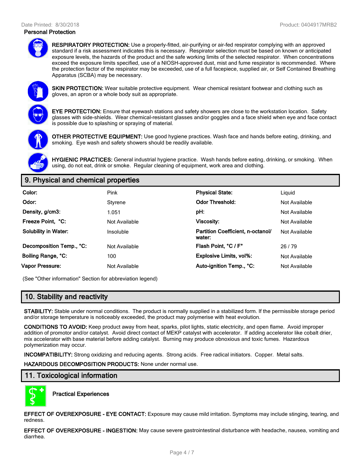#### Date Printed: 8/30/2018 Product: 0404917MRB2

#### **Personal Protection**



**RESPIRATORY PROTECTION:** Use a properly-fitted, air-purifying or air-fed respirator complying with an approved standard if a risk assessment indicates this is necessary. Respirator selection must be based on known or anticipated exposure levels, the hazards of the product and the safe working limits of the selected respirator. When concentrations exceed the exposure limits specified, use of a NIOSH-approved dust, mist and fume respirator is recommended. Where the protection factor of the respirator may be exceeded, use of a full facepiece, supplied air, or Self Contained Breathing Apparatus (SCBA) may be necessary.



**SKIN PROTECTION:** Wear suitable protective equipment. Wear chemical resistant footwear and clothing such as gloves, an apron or a whole body suit as appropriate.

**EYE PROTECTION:** Ensure that eyewash stations and safety showers are close to the workstation location. Safety glasses with side-shields. Wear chemical-resistant glasses and/or goggles and a face shield when eye and face contact is possible due to splashing or spraying of material.



**OTHER PROTECTIVE EQUIPMENT:** Use good hygiene practices. Wash face and hands before eating, drinking, and smoking. Eye wash and safety showers should be readily available.

**HYGIENIC PRACTICES:** General industrial hygiene practice. Wash hands before eating, drinking, or smoking. When using, do not eat, drink or smoke. Regular cleaning of equipment, work area and clothing.

## **9. Physical and chemical properties**

| Color:                      | Pink          | <b>Physical State:</b>                      | Liguid        |
|-----------------------------|---------------|---------------------------------------------|---------------|
| Odor:                       | Styrene       | <b>Odor Threshold:</b>                      | Not Available |
| Density, g/cm3:             | 1.051         | pH:                                         | Not Available |
| Freeze Point. °C:           | Not Available | <b>Viscosity:</b>                           | Not Available |
| <b>Solubility in Water:</b> | Insoluble     | Partition Coefficient, n-octanol/<br>water: | Not Available |
| Decomposition Temp., °C:    | Not Available | Flash Point, °C / F°                        | 26/79         |
| Boiling Range, °C:          | 100           | <b>Explosive Limits, vol%:</b>              | Not Available |
| Vapor Pressure:             | Not Available | Auto-ignition Temp., °C:                    | Not Available |

(See "Other information" Section for abbreviation legend)

## **10. Stability and reactivity**

**STABILITY:** Stable under normal conditions. The product is normally supplied in a stabilized form. If the permissible storage period and/or storage temperature is noticeably exceeded, the product may polymerise with heat evolution.

**CONDITIONS TO AVOID:** Keep product away from heat, sparks, pilot lights, static electricity, and open flame. Avoid improper addition of promotor and/or catalyst. Avoid direct contact of MEKP catalyst with accelerator. If adding accelerator like cobalt drier, mix accelerator with base material before adding catalyst. Burning may produce obnoxious and toxic fumes. Hazardous polymerization may occur.

**INCOMPATIBILITY:** Strong oxidizing and reducing agents. Strong acids. Free radical initiators. Copper. Metal salts.

**HAZARDOUS DECOMPOSITION PRODUCTS:** None under normal use.

## **11. Toxicological information**



**Practical Experiences**

**EFFECT OF OVEREXPOSURE - EYE CONTACT:** Exposure may cause mild irritation. Symptoms may include stinging, tearing, and redness.

**EFFECT OF OVEREXPOSURE - INGESTION:** May cause severe gastrointestinal disturbance with headache, nausea, vomiting and diarrhea.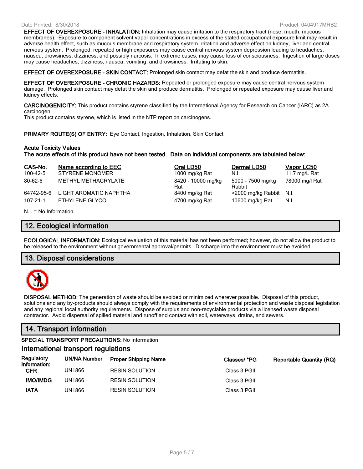#### Date Printed: 8/30/2018 Product: 0404917MRB2

Rat

**EFFECT OF OVEREXPOSURE - INHALATION:** Inhalation may cause irritation to the respiratory tract (nose, mouth, mucous membranes). Exposure to component solvent vapor concentrations in excess of the stated occupational exposure limit may result in adverse health effect, such as mucous membrane and respiratory system irritation and adverse effect on kidney, liver and central nervous system. Prolonged, repeated or high exposures may cause central nervous system depression leading to headaches, nausea, drowsiness, dizziness, and possibly narcosis. In extreme cases, may cause loss of consciousness. Ingestion of large doses may cause headaches, dizziness, nausea, vomiting, and drowsiness. Irritating to skin.

**EFFECT OF OVEREXPOSURE - SKIN CONTACT:** Prolonged skin contact may defat the skin and produce dermatitis.

**EFFECT OF OVEREXPOSURE - CHRONIC HAZARDS:** Repeated or prolonged exposure may cause central nervous system damage. Prolonged skin contact may defat the skin and produce dermatitis. Prolonged or repeated exposure may cause liver and kidney effects.

**CARCINOGENICITY:** This product contains styrene classified by the International Agency for Research on Cancer (IARC) as 2A carcinogen.

This product contains styrene, which is listed in the NTP report on carcinogens.

**PRIMARY ROUTE(S) OF ENTRY:** Eye Contact, Ingestion, Inhalation, Skin Contact

#### **Acute Toxicity Values**

**The acute effects of this product have not been tested. Data on individual components are tabulated below:**

| CAS-No.        | Name according to EEC  | Oral LD50                 | Dermal LD50                 | Vapor LC50    |
|----------------|------------------------|---------------------------|-----------------------------|---------------|
| $100 - 42 - 5$ | <b>STYRENE MONOMER</b> | 1000 mg/kg Rat            | N.I.                        | 11.7 mg/L Rat |
| $80 - 62 - 6$  | METHYL METHACRYLATE    | 8420 - 10000 mg/kg<br>Rat | 5000 - 7500 mg/kg<br>Rabbit | 78000 mg/l Ra |
| 64742-95-6     | LIGHT AROMATIC NAPHTHA | 8400 mg/kg Rat            | >2000 mg/kg Rabbit N.I.     |               |
| $107 - 21 - 1$ | ETHYLENE GLYCOL        | 4700 mg/kg Rat            | 10600 mg/kg Rat             | N.I.          |

| Oral LD50          |
|--------------------|
| 1000 mg/kg Rat     |
| 8420 - 10000 mg/kg |
| Rat                |
| 8400 mg/kg Rat     |
| 4700 ma/ka Rat     |

| Dermal LD50                 | <b>Vapor LC5</b> |
|-----------------------------|------------------|
| N.L                         | 11.7 mg/L F      |
| 5000 - 7500 mg/kg<br>Rabbit | 78000 mg/l       |
| >2000 mg/kg Rabbit          | N.I.             |
| 10600 mg/kg Rat             | N.L              |

N.I. = No Information

#### **12. Ecological information**

**ECOLOGICAL INFORMATION:** Ecological evaluation of this material has not been performed; however, do not allow the product to be released to the environment without governmental approval/permits. Discharge into the environment must be avoided.

#### **13. Disposal considerations**



**DISPOSAL METHOD:** The generation of waste should be avoided or minimized wherever possible. Disposal of this product, solutions and any by-products should always comply with the requirements of environmental protection and waste disposal legislation and any regional local authority requirements. Dispose of surplus and non-recyclable products via a licensed waste disposal contractor. Avoid dispersal of spilled material and runoff and contact with soil, waterways, drains, and sewers.

## **14. Transport information**

**SPECIAL TRANSPORT PRECAUTIONS:** No Information

#### **International transport regulations**

| Regulatory<br>Information: | UN/NA Number | <b>Proper Shipping Name</b> | Classes/ *PG  | Reportable Quantity (RQ) |
|----------------------------|--------------|-----------------------------|---------------|--------------------------|
| CFR                        | UN1866       | <b>RESIN SOLUTION</b>       | Class 3 PGIII |                          |
| <b>IMO/IMDG</b>            | UN1866       | <b>RESIN SOLUTION</b>       | Class 3 PGIII |                          |
| IATA                       | UN1866       | <b>RESIN SOLUTION</b>       | Class 3 PGIII |                          |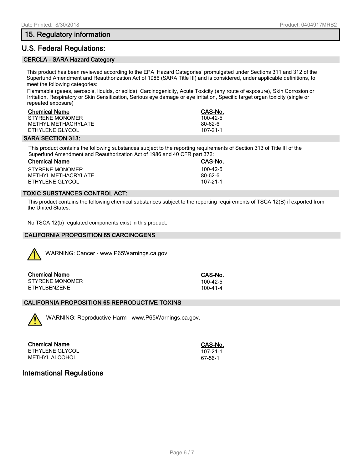## **15. Regulatory information**

## **U.S. Federal Regulations:**

#### **CERCLA - SARA Hazard Category**

This product has been reviewed according to the EPA 'Hazard Categories' promulgated under Sections 311 and 312 of the Superfund Amendment and Reauthorization Act of 1986 (SARA Title III) and is considered, under applicable definitions, to meet the following categories:

Flammable (gases, aerosols, liquids, or solids), Carcinogenicity, Acute Toxicity (any route of exposure), Skin Corrosion or Irritation, Respiratory or Skin Sensitization, Serious eye damage or eye irritation, Specific target organ toxicity (single or repeated exposure)

| <b>Chemical Name</b> | CAS-No.    |
|----------------------|------------|
| STYRENE MONOMER      | $100-42-5$ |
| METHYL METHACRYLATE  | 80-62-6    |
| ETHYLENE GLYCOL      | 107-21-1   |

#### **SARA SECTION 313:**

This product contains the following substances subject to the reporting requirements of Section 313 of Title III of the Superfund Amendment and Reauthorization Act of 1986 and 40 CFR part 372:

| <b>Chemical Name</b> | CAS-No.    |  |  |
|----------------------|------------|--|--|
| STYRENE MONOMER      | $100-42-5$ |  |  |
| METHYL METHACRYLATE  | 80-62-6    |  |  |
| ETHYLENE GLYCOL      | 107-21-1   |  |  |

### **TOXIC SUBSTANCES CONTROL ACT:**

This product contains the following chemical substances subject to the reporting requirements of TSCA 12(B) if exported from the United States:

No TSCA 12(b) regulated components exist in this product.

#### **CALIFORNIA PROPOSITION 65 CARCINOGENS**



WARNING: Cancer - www.P65Warnings.ca.gov

| <b>Chemical Name</b> | CAS-No.    |
|----------------------|------------|
| STYRENE MONOMER      | $100-42-5$ |
| ETHYLBENZENE         | 100-41-4   |

#### **CALIFORNIA PROPOSITION 65 REPRODUCTIVE TOXINS**



WARNING: Reproductive Harm - www.P65Warnings.ca.gov.

**Chemical Name CAS-No.** ETHYLENE GLYCOL 107-21-1 METHYL ALCOHOL **ALCOHOL CONTRACT CONTRACT CONTRACT CONTRACT CONTRACT CONTRACT CONTRACT CONTRACT CONTRACT CONTRACT CONTRACT CONTRACT CONTRACT CONTRACT CONTRACT CONTRACT CONTRACT CONTRACT CONTRACT CONTRACT CONTRACT CONTRACT** 

## **International Regulations**